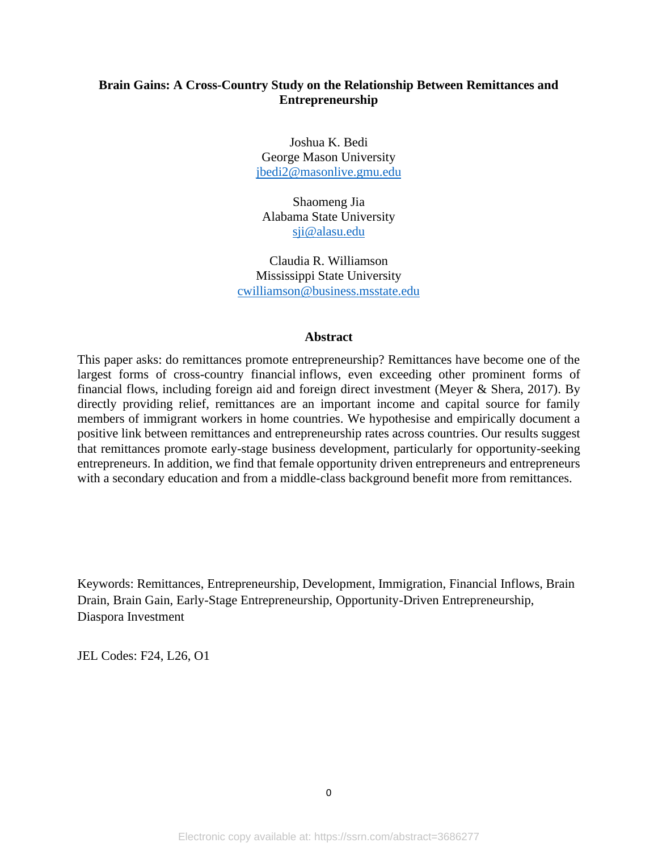# **Brain Gains: A Cross-Country Study on the Relationship Between Remittances and Entrepreneurship**

Joshua K. Bedi George Mason University [jbedi2@masonlive.gmu.edu](mailto:jbedi2@masonlive.gmu.edu)

Shaomeng Jia Alabama State University [sji@alasu.edu](mailto:sji@alasu.edu)

Claudia R. Williamson Mississippi State University [cwilliamson@business.msstate.edu](mailto:cwilliamson@business.msstate.edu)

#### **Abstract**

This paper asks: do remittances promote entrepreneurship? Remittances have become one of the largest forms of cross-country financial inflows, even exceeding other prominent forms of financial flows, including foreign aid and foreign direct investment (Meyer & Shera, 2017). By directly providing relief, remittances are an important income and capital source for family members of immigrant workers in home countries. We hypothesise and empirically document a positive link between remittances and entrepreneurship rates across countries. Our results suggest that remittances promote early-stage business development, particularly for opportunity-seeking entrepreneurs. In addition, we find that female opportunity driven entrepreneurs and entrepreneurs with a secondary education and from a middle-class background benefit more from remittances.

Keywords: Remittances, Entrepreneurship, Development, Immigration, Financial Inflows, Brain Drain, Brain Gain, Early-Stage Entrepreneurship, Opportunity-Driven Entrepreneurship, Diaspora Investment

JEL Codes: F24, L26, O1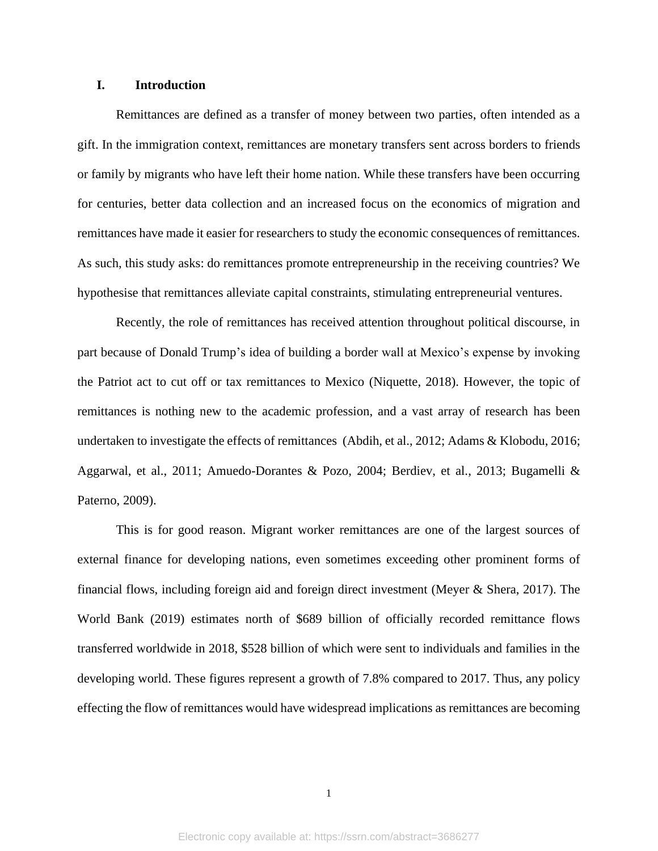#### **I. Introduction**

Remittances are defined as a transfer of money between two parties, often intended as a gift. In the immigration context, remittances are monetary transfers sent across borders to friends or family by migrants who have left their home nation. While these transfers have been occurring for centuries, better data collection and an increased focus on the economics of migration and remittances have made it easier for researchers to study the economic consequences of remittances. As such, this study asks: do remittances promote entrepreneurship in the receiving countries? We hypothesise that remittances alleviate capital constraints, stimulating entrepreneurial ventures.

Recently, the role of remittances has received attention throughout political discourse, in part because of Donald Trump's idea of building a border wall at Mexico's expense by invoking the Patriot act to cut off or tax remittances to Mexico (Niquette, 2018). However, the topic of remittances is nothing new to the academic profession, and a vast array of research has been undertaken to investigate the effects of remittances (Abdih, et al., 2012; Adams & Klobodu, 2016; Aggarwal, et al., 2011; Amuedo-Dorantes & Pozo, 2004; Berdiev, et al., 2013; Bugamelli & Paterno, 2009).

This is for good reason. Migrant worker remittances are one of the largest sources of external finance for developing nations, even sometimes exceeding other prominent forms of financial flows, including foreign aid and foreign direct investment (Meyer & Shera, 2017). The World Bank (2019) estimates north of \$689 billion of officially recorded remittance flows transferred worldwide in 2018, \$528 billion of which were sent to individuals and families in the developing world. These figures represent a growth of 7.8% compared to 2017. Thus, any policy effecting the flow of remittances would have widespread implications as remittances are becoming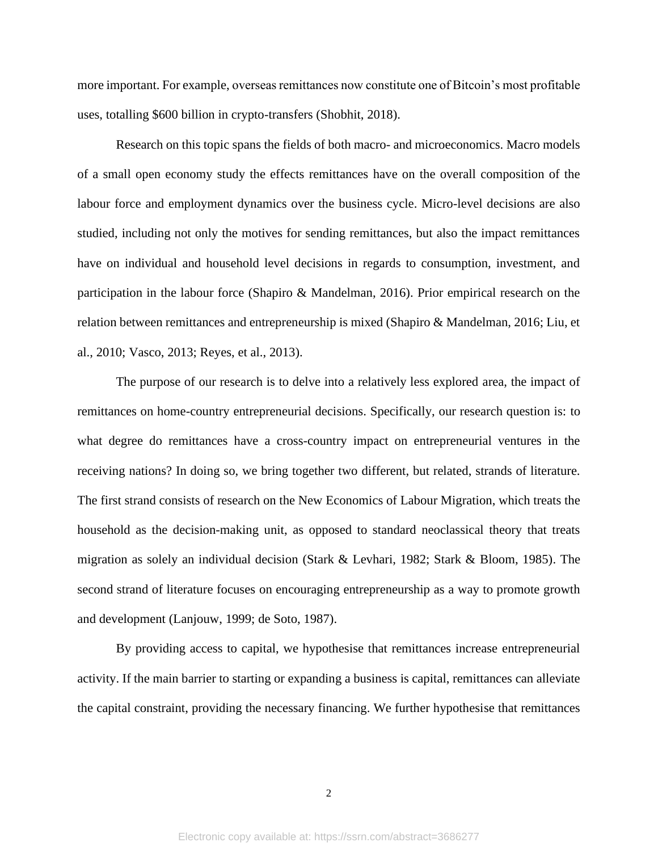more important. For example, overseas remittances now constitute one of Bitcoin's most profitable uses, totalling \$600 billion in crypto-transfers (Shobhit, 2018).

Research on this topic spans the fields of both macro- and microeconomics. Macro models of a small open economy study the effects remittances have on the overall composition of the labour force and employment dynamics over the business cycle. Micro-level decisions are also studied, including not only the motives for sending remittances, but also the impact remittances have on individual and household level decisions in regards to consumption, investment, and participation in the labour force (Shapiro & Mandelman, 2016). Prior empirical research on the relation between remittances and entrepreneurship is mixed (Shapiro & Mandelman, 2016; Liu, et al., 2010; Vasco, 2013; Reyes, et al., 2013).

The purpose of our research is to delve into a relatively less explored area, the impact of remittances on home-country entrepreneurial decisions. Specifically, our research question is: to what degree do remittances have a cross-country impact on entrepreneurial ventures in the receiving nations? In doing so, we bring together two different, but related, strands of literature. The first strand consists of research on the New Economics of Labour Migration, which treats the household as the decision-making unit, as opposed to standard neoclassical theory that treats migration as solely an individual decision (Stark & Levhari, 1982; Stark & Bloom, 1985). The second strand of literature focuses on encouraging entrepreneurship as a way to promote growth and development (Lanjouw, 1999; de Soto, 1987).

By providing access to capital, we hypothesise that remittances increase entrepreneurial activity. If the main barrier to starting or expanding a business is capital, remittances can alleviate the capital constraint, providing the necessary financing. We further hypothesise that remittances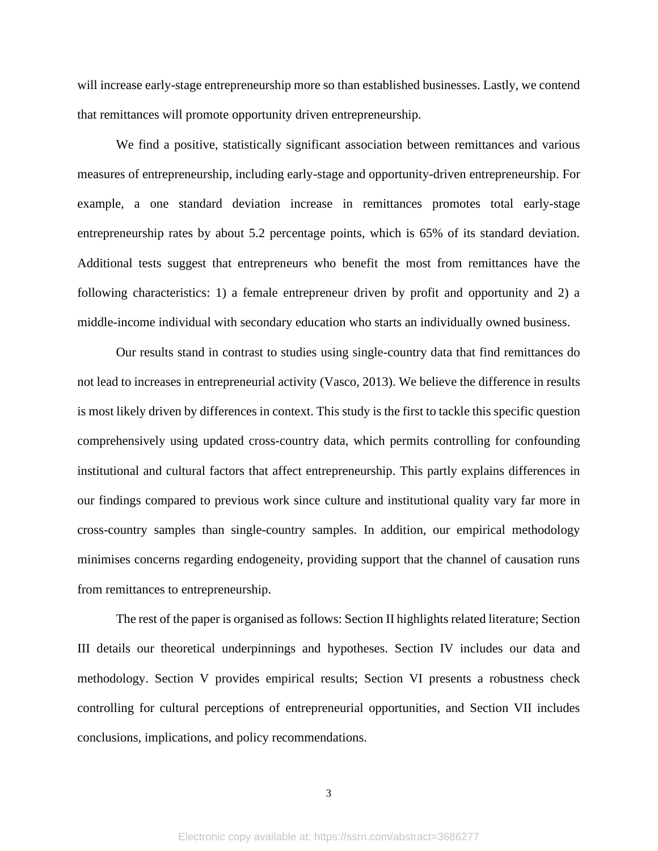will increase early-stage entrepreneurship more so than established businesses. Lastly, we contend that remittances will promote opportunity driven entrepreneurship.

We find a positive, statistically significant association between remittances and various measures of entrepreneurship, including early-stage and opportunity-driven entrepreneurship. For example, a one standard deviation increase in remittances promotes total early-stage entrepreneurship rates by about 5.2 percentage points, which is 65% of its standard deviation. Additional tests suggest that entrepreneurs who benefit the most from remittances have the following characteristics: 1) a female entrepreneur driven by profit and opportunity and 2) a middle-income individual with secondary education who starts an individually owned business.

Our results stand in contrast to studies using single-country data that find remittances do not lead to increases in entrepreneurial activity (Vasco, 2013). We believe the difference in results is most likely driven by differences in context. This study is the first to tackle this specific question comprehensively using updated cross-country data, which permits controlling for confounding institutional and cultural factors that affect entrepreneurship. This partly explains differences in our findings compared to previous work since culture and institutional quality vary far more in cross-country samples than single-country samples. In addition, our empirical methodology minimises concerns regarding endogeneity, providing support that the channel of causation runs from remittances to entrepreneurship.

The rest of the paper is organised as follows: Section II highlights related literature; Section III details our theoretical underpinnings and hypotheses. Section IV includes our data and methodology. Section V provides empirical results; Section VI presents a robustness check controlling for cultural perceptions of entrepreneurial opportunities, and Section VII includes conclusions, implications, and policy recommendations.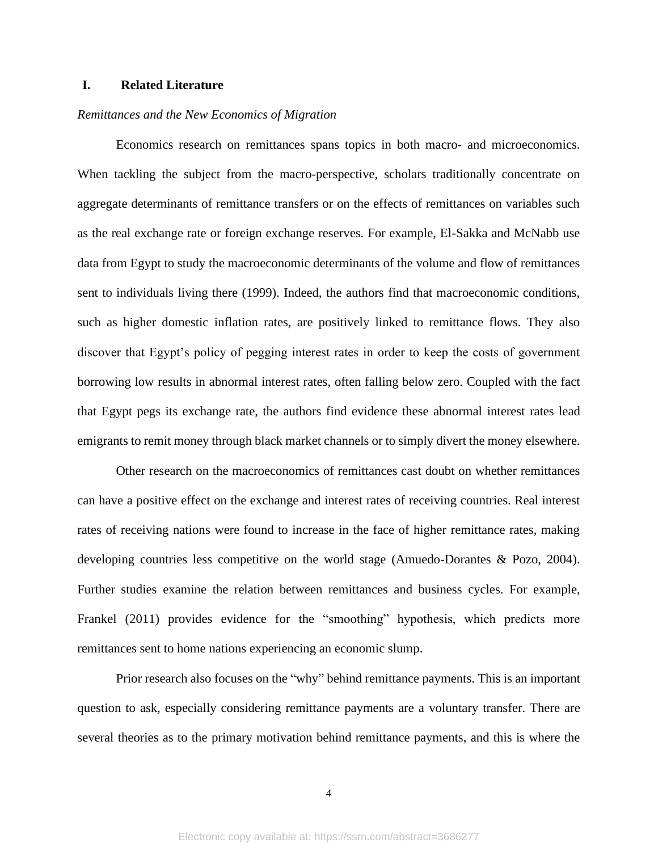## **I. Related Literature**

### *Remittances and the New Economics of Migration*

Economics research on remittances spans topics in both macro- and microeconomics. When tackling the subject from the macro-perspective, scholars traditionally concentrate on aggregate determinants of remittance transfers or on the effects of remittances on variables such as the real exchange rate or foreign exchange reserves. For example, El-Sakka and McNabb use data from Egypt to study the macroeconomic determinants of the volume and flow of remittances sent to individuals living there (1999). Indeed, the authors find that macroeconomic conditions, such as higher domestic inflation rates, are positively linked to remittance flows. They also discover that Egypt's policy of pegging interest rates in order to keep the costs of government borrowing low results in abnormal interest rates, often falling below zero. Coupled with the fact that Egypt pegs its exchange rate, the authors find evidence these abnormal interest rates lead emigrants to remit money through black market channels or to simply divert the money elsewhere.

Other research on the macroeconomics of remittances cast doubt on whether remittances can have a positive effect on the exchange and interest rates of receiving countries. Real interest rates of receiving nations were found to increase in the face of higher remittance rates, making developing countries less competitive on the world stage (Amuedo-Dorantes & Pozo, 2004). Further studies examine the relation between remittances and business cycles. For example, Frankel (2011) provides evidence for the "smoothing" hypothesis, which predicts more remittances sent to home nations experiencing an economic slump.

Prior research also focuses on the "why" behind remittance payments. This is an important question to ask, especially considering remittance payments are a voluntary transfer. There are several theories as to the primary motivation behind remittance payments, and this is where the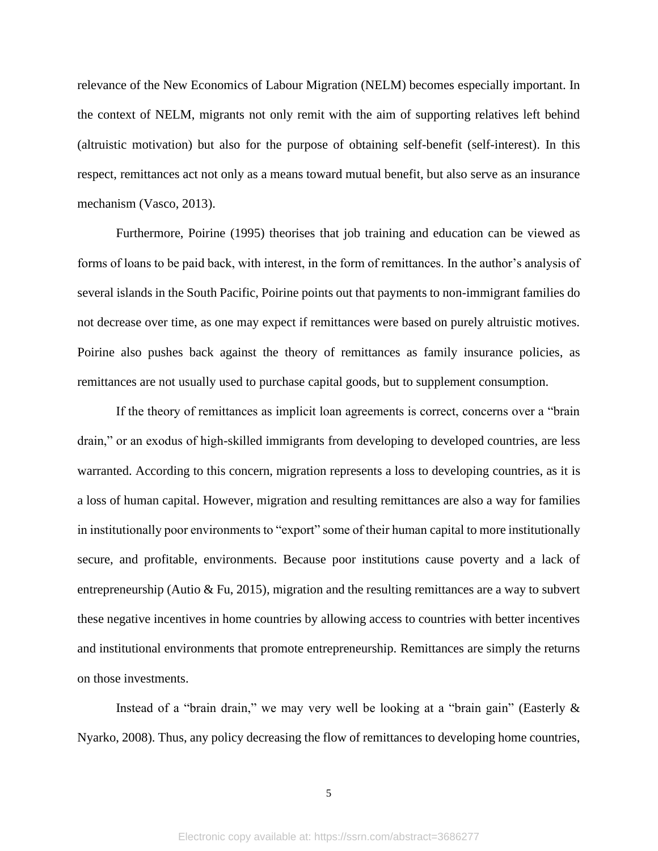relevance of the New Economics of Labour Migration (NELM) becomes especially important. In the context of NELM, migrants not only remit with the aim of supporting relatives left behind (altruistic motivation) but also for the purpose of obtaining self-benefit (self-interest). In this respect, remittances act not only as a means toward mutual benefit, but also serve as an insurance mechanism (Vasco, 2013).

Furthermore, Poirine (1995) theorises that job training and education can be viewed as forms of loans to be paid back, with interest, in the form of remittances. In the author's analysis of several islands in the South Pacific, Poirine points out that payments to non-immigrant families do not decrease over time, as one may expect if remittances were based on purely altruistic motives. Poirine also pushes back against the theory of remittances as family insurance policies, as remittances are not usually used to purchase capital goods, but to supplement consumption.

If the theory of remittances as implicit loan agreements is correct, concerns over a "brain drain," or an exodus of high-skilled immigrants from developing to developed countries, are less warranted. According to this concern, migration represents a loss to developing countries, as it is a loss of human capital. However, migration and resulting remittances are also a way for families in institutionally poor environments to "export" some of their human capital to more institutionally secure, and profitable, environments. Because poor institutions cause poverty and a lack of entrepreneurship (Autio & Fu, 2015), migration and the resulting remittances are a way to subvert these negative incentives in home countries by allowing access to countries with better incentives and institutional environments that promote entrepreneurship. Remittances are simply the returns on those investments.

Instead of a "brain drain," we may very well be looking at a "brain gain" (Easterly & Nyarko, 2008). Thus, any policy decreasing the flow of remittances to developing home countries,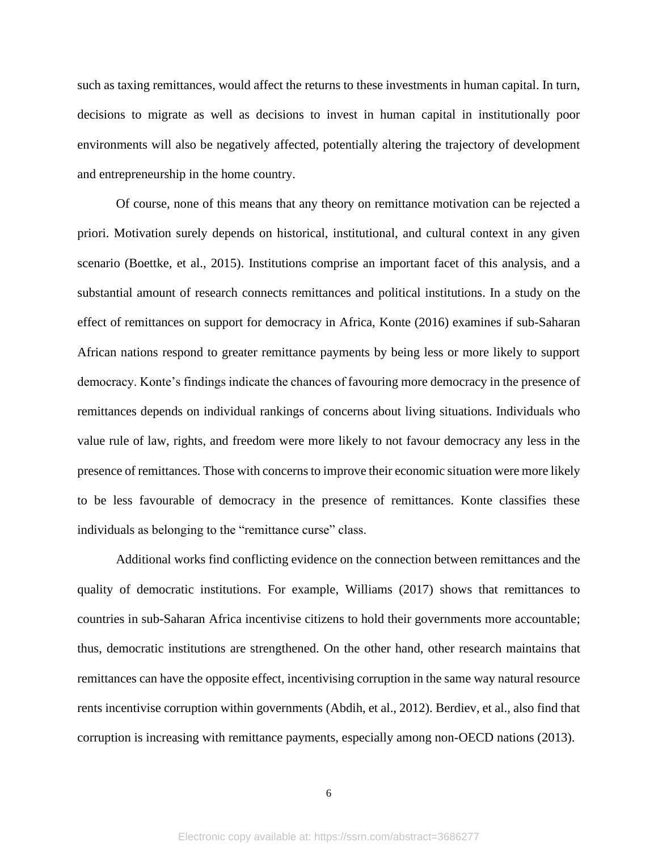such as taxing remittances, would affect the returns to these investments in human capital. In turn, decisions to migrate as well as decisions to invest in human capital in institutionally poor environments will also be negatively affected, potentially altering the trajectory of development and entrepreneurship in the home country.

Of course, none of this means that any theory on remittance motivation can be rejected a priori. Motivation surely depends on historical, institutional, and cultural context in any given scenario (Boettke, et al., 2015). Institutions comprise an important facet of this analysis, and a substantial amount of research connects remittances and political institutions. In a study on the effect of remittances on support for democracy in Africa, Konte (2016) examines if sub-Saharan African nations respond to greater remittance payments by being less or more likely to support democracy. Konte's findings indicate the chances of favouring more democracy in the presence of remittances depends on individual rankings of concerns about living situations. Individuals who value rule of law, rights, and freedom were more likely to not favour democracy any less in the presence of remittances. Those with concerns to improve their economic situation were more likely to be less favourable of democracy in the presence of remittances. Konte classifies these individuals as belonging to the "remittance curse" class.

Additional works find conflicting evidence on the connection between remittances and the quality of democratic institutions. For example, Williams (2017) shows that remittances to countries in sub-Saharan Africa incentivise citizens to hold their governments more accountable; thus, democratic institutions are strengthened. On the other hand, other research maintains that remittances can have the opposite effect, incentivising corruption in the same way natural resource rents incentivise corruption within governments (Abdih, et al., 2012). Berdiev, et al., also find that corruption is increasing with remittance payments, especially among non-OECD nations (2013).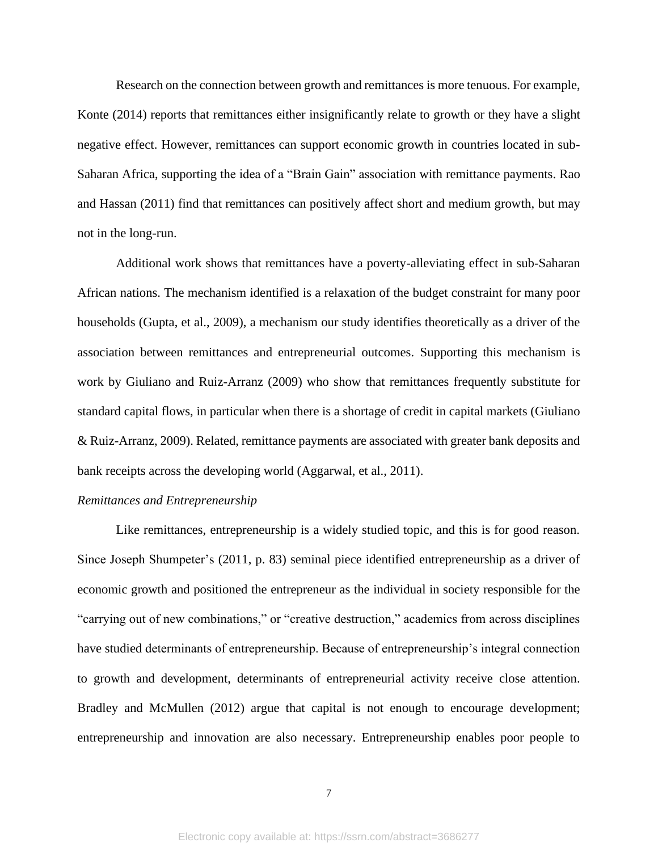Research on the connection between growth and remittances is more tenuous. For example, Konte (2014) reports that remittances either insignificantly relate to growth or they have a slight negative effect. However, remittances can support economic growth in countries located in sub-Saharan Africa, supporting the idea of a "Brain Gain" association with remittance payments. Rao and Hassan (2011) find that remittances can positively affect short and medium growth, but may not in the long-run.

Additional work shows that remittances have a poverty-alleviating effect in sub-Saharan African nations. The mechanism identified is a relaxation of the budget constraint for many poor households (Gupta, et al., 2009), a mechanism our study identifies theoretically as a driver of the association between remittances and entrepreneurial outcomes. Supporting this mechanism is work by Giuliano and Ruiz-Arranz (2009) who show that remittances frequently substitute for standard capital flows, in particular when there is a shortage of credit in capital markets (Giuliano & Ruiz-Arranz, 2009). Related, remittance payments are associated with greater bank deposits and bank receipts across the developing world (Aggarwal, et al., 2011).

#### *Remittances and Entrepreneurship*

Like remittances, entrepreneurship is a widely studied topic, and this is for good reason. Since Joseph Shumpeter's (2011, p. 83) seminal piece identified entrepreneurship as a driver of economic growth and positioned the entrepreneur as the individual in society responsible for the "carrying out of new combinations," or "creative destruction," academics from across disciplines have studied determinants of entrepreneurship. Because of entrepreneurship's integral connection to growth and development, determinants of entrepreneurial activity receive close attention. Bradley and McMullen (2012) argue that capital is not enough to encourage development; entrepreneurship and innovation are also necessary. Entrepreneurship enables poor people to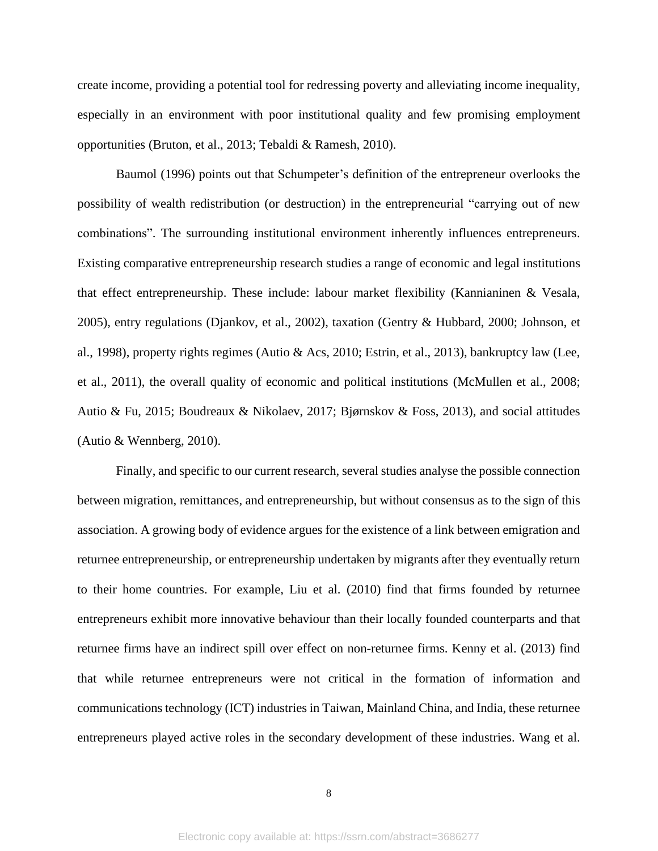create income, providing a potential tool for redressing poverty and alleviating income inequality, especially in an environment with poor institutional quality and few promising employment opportunities (Bruton, et al., 2013; Tebaldi & Ramesh, 2010).

Baumol (1996) points out that Schumpeter's definition of the entrepreneur overlooks the possibility of wealth redistribution (or destruction) in the entrepreneurial "carrying out of new combinations". The surrounding institutional environment inherently influences entrepreneurs. Existing comparative entrepreneurship research studies a range of economic and legal institutions that effect entrepreneurship. These include: labour market flexibility (Kannianinen & Vesala, 2005), entry regulations (Djankov, et al., 2002), taxation (Gentry & Hubbard, 2000; Johnson, et al., 1998), property rights regimes (Autio & Acs, 2010; Estrin, et al., 2013), bankruptcy law (Lee, et al., 2011), the overall quality of economic and political institutions (McMullen et al., 2008; Autio & Fu, 2015; Boudreaux & Nikolaev, 2017; Bjørnskov & Foss, 2013), and social attitudes (Autio & Wennberg, 2010).

Finally, and specific to our current research, several studies analyse the possible connection between migration, remittances, and entrepreneurship, but without consensus as to the sign of this association. A growing body of evidence argues for the existence of a link between emigration and returnee entrepreneurship, or entrepreneurship undertaken by migrants after they eventually return to their home countries. For example, Liu et al. (2010) find that firms founded by returnee entrepreneurs exhibit more innovative behaviour than their locally founded counterparts and that returnee firms have an indirect spill over effect on non-returnee firms. Kenny et al. (2013) find that while returnee entrepreneurs were not critical in the formation of information and communications technology (ICT) industries in Taiwan, Mainland China, and India, these returnee entrepreneurs played active roles in the secondary development of these industries. Wang et al.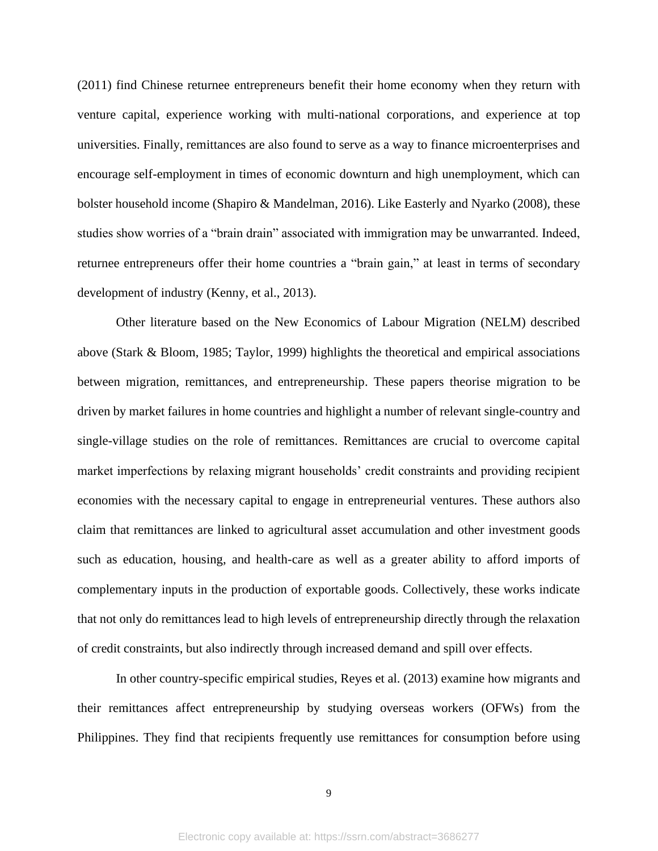(2011) find Chinese returnee entrepreneurs benefit their home economy when they return with venture capital, experience working with multi-national corporations, and experience at top universities. Finally, remittances are also found to serve as a way to finance microenterprises and encourage self-employment in times of economic downturn and high unemployment, which can bolster household income (Shapiro & Mandelman, 2016). Like Easterly and Nyarko (2008), these studies show worries of a "brain drain" associated with immigration may be unwarranted. Indeed, returnee entrepreneurs offer their home countries a "brain gain," at least in terms of secondary development of industry (Kenny, et al., 2013).

Other literature based on the New Economics of Labour Migration (NELM) described above (Stark & Bloom, 1985; Taylor, 1999) highlights the theoretical and empirical associations between migration, remittances, and entrepreneurship. These papers theorise migration to be driven by market failures in home countries and highlight a number of relevant single-country and single-village studies on the role of remittances. Remittances are crucial to overcome capital market imperfections by relaxing migrant households' credit constraints and providing recipient economies with the necessary capital to engage in entrepreneurial ventures. These authors also claim that remittances are linked to agricultural asset accumulation and other investment goods such as education, housing, and health-care as well as a greater ability to afford imports of complementary inputs in the production of exportable goods. Collectively, these works indicate that not only do remittances lead to high levels of entrepreneurship directly through the relaxation of credit constraints, but also indirectly through increased demand and spill over effects.

In other country-specific empirical studies, Reyes et al. (2013) examine how migrants and their remittances affect entrepreneurship by studying overseas workers (OFWs) from the Philippines. They find that recipients frequently use remittances for consumption before using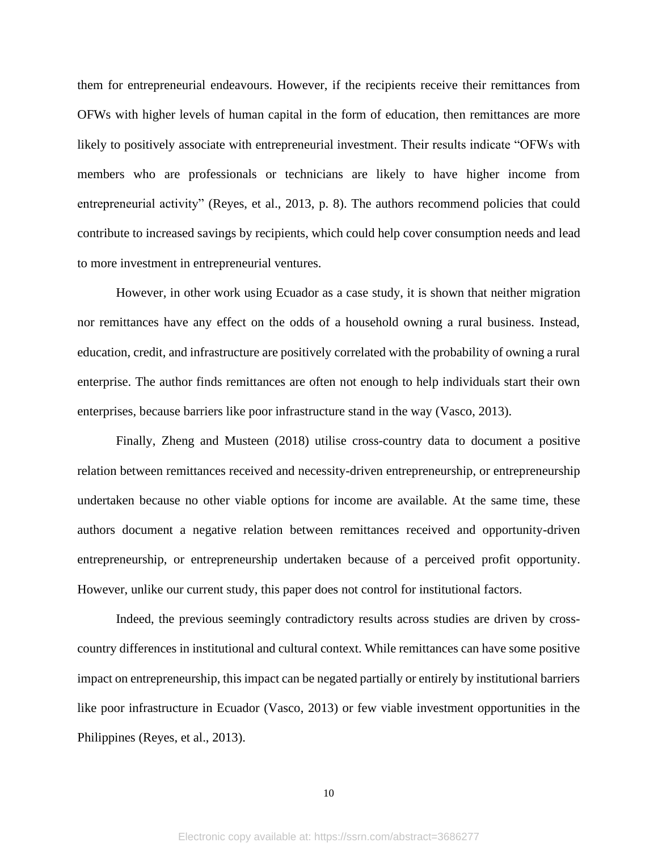them for entrepreneurial endeavours. However, if the recipients receive their remittances from OFWs with higher levels of human capital in the form of education, then remittances are more likely to positively associate with entrepreneurial investment. Their results indicate "OFWs with members who are professionals or technicians are likely to have higher income from entrepreneurial activity" (Reyes, et al., 2013, p. 8). The authors recommend policies that could contribute to increased savings by recipients, which could help cover consumption needs and lead to more investment in entrepreneurial ventures.

However, in other work using Ecuador as a case study, it is shown that neither migration nor remittances have any effect on the odds of a household owning a rural business. Instead, education, credit, and infrastructure are positively correlated with the probability of owning a rural enterprise. The author finds remittances are often not enough to help individuals start their own enterprises, because barriers like poor infrastructure stand in the way (Vasco, 2013).

Finally, Zheng and Musteen (2018) utilise cross-country data to document a positive relation between remittances received and necessity-driven entrepreneurship, or entrepreneurship undertaken because no other viable options for income are available. At the same time, these authors document a negative relation between remittances received and opportunity-driven entrepreneurship, or entrepreneurship undertaken because of a perceived profit opportunity. However, unlike our current study, this paper does not control for institutional factors.

Indeed, the previous seemingly contradictory results across studies are driven by crosscountry differences in institutional and cultural context. While remittances can have some positive impact on entrepreneurship, this impact can be negated partially or entirely by institutional barriers like poor infrastructure in Ecuador (Vasco, 2013) or few viable investment opportunities in the Philippines (Reyes, et al., 2013).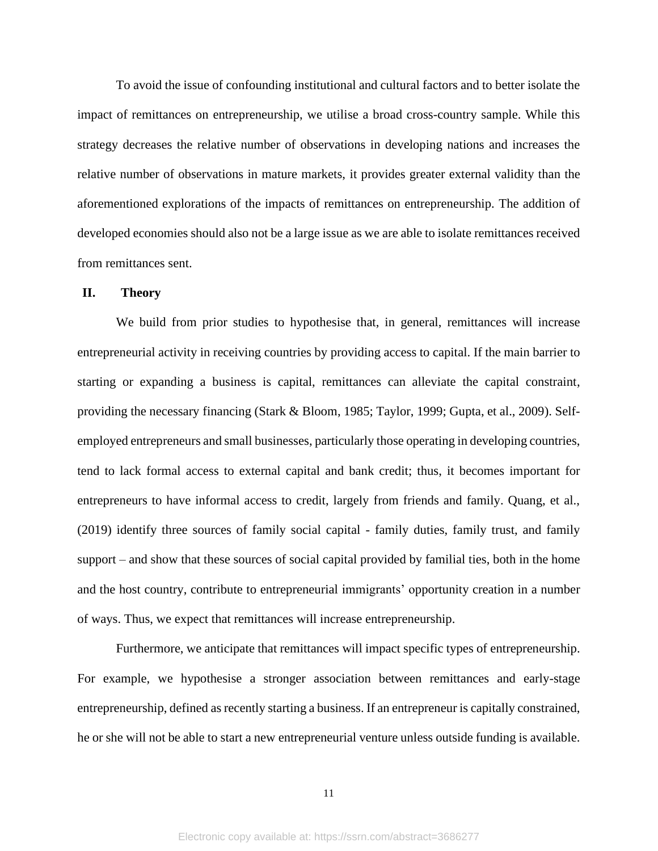To avoid the issue of confounding institutional and cultural factors and to better isolate the impact of remittances on entrepreneurship, we utilise a broad cross-country sample. While this strategy decreases the relative number of observations in developing nations and increases the relative number of observations in mature markets, it provides greater external validity than the aforementioned explorations of the impacts of remittances on entrepreneurship. The addition of developed economies should also not be a large issue as we are able to isolate remittances received from remittances sent.

#### **II. Theory**

We build from prior studies to hypothesise that, in general, remittances will increase entrepreneurial activity in receiving countries by providing access to capital. If the main barrier to starting or expanding a business is capital, remittances can alleviate the capital constraint, providing the necessary financing (Stark & Bloom, 1985; Taylor, 1999; Gupta, et al., 2009). Selfemployed entrepreneurs and small businesses, particularly those operating in developing countries, tend to lack formal access to external capital and bank credit; thus, it becomes important for entrepreneurs to have informal access to credit, largely from friends and family. Quang, et al., (2019) identify three sources of family social capital - family duties, family trust, and family support – and show that these sources of social capital provided by familial ties, both in the home and the host country, contribute to entrepreneurial immigrants' opportunity creation in a number of ways. Thus, we expect that remittances will increase entrepreneurship.

Furthermore, we anticipate that remittances will impact specific types of entrepreneurship. For example, we hypothesise a stronger association between remittances and early-stage entrepreneurship, defined as recently starting a business. If an entrepreneur is capitally constrained, he or she will not be able to start a new entrepreneurial venture unless outside funding is available.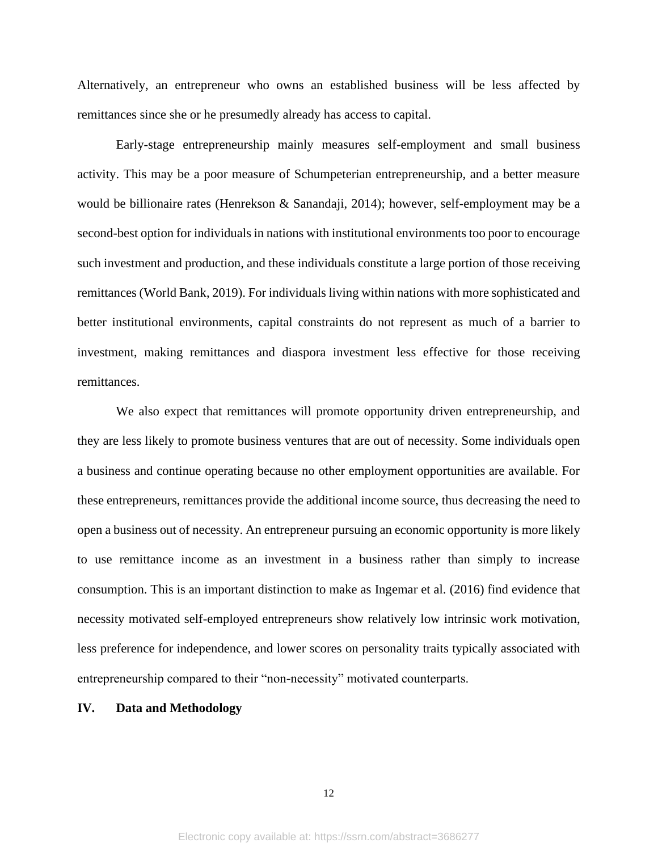Alternatively, an entrepreneur who owns an established business will be less affected by remittances since she or he presumedly already has access to capital.

Early-stage entrepreneurship mainly measures self-employment and small business activity. This may be a poor measure of Schumpeterian entrepreneurship, and a better measure would be billionaire rates (Henrekson & Sanandaji, 2014); however, self-employment may be a second-best option for individuals in nations with institutional environments too poor to encourage such investment and production, and these individuals constitute a large portion of those receiving remittances (World Bank, 2019). For individuals living within nations with more sophisticated and better institutional environments, capital constraints do not represent as much of a barrier to investment, making remittances and diaspora investment less effective for those receiving remittances.

We also expect that remittances will promote opportunity driven entrepreneurship, and they are less likely to promote business ventures that are out of necessity. Some individuals open a business and continue operating because no other employment opportunities are available. For these entrepreneurs, remittances provide the additional income source, thus decreasing the need to open a business out of necessity. An entrepreneur pursuing an economic opportunity is more likely to use remittance income as an investment in a business rather than simply to increase consumption. This is an important distinction to make as Ingemar et al. (2016) find evidence that necessity motivated self-employed entrepreneurs show relatively low intrinsic work motivation, less preference for independence, and lower scores on personality traits typically associated with entrepreneurship compared to their "non-necessity" motivated counterparts.

## **IV. Data and Methodology**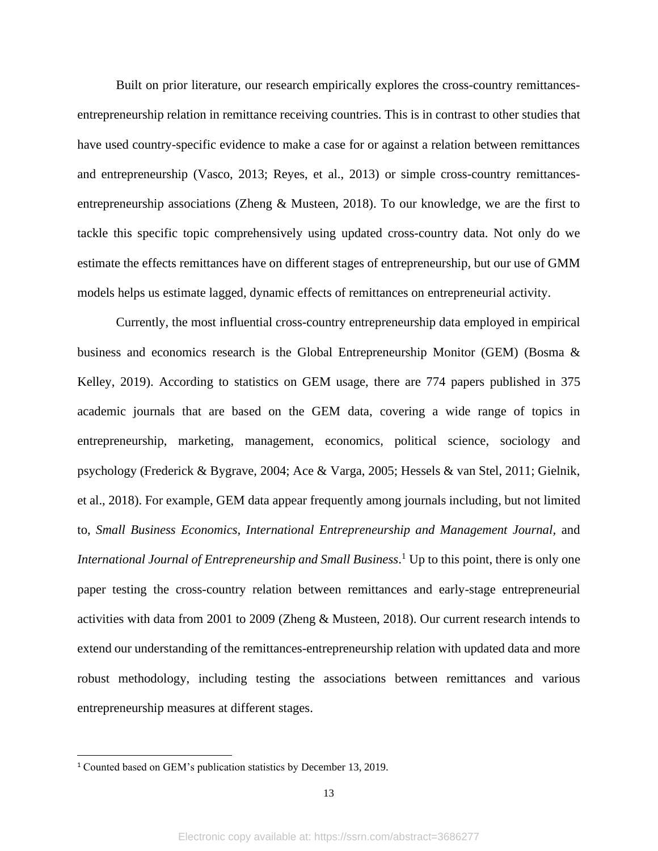Built on prior literature, our research empirically explores the cross-country remittancesentrepreneurship relation in remittance receiving countries. This is in contrast to other studies that have used country-specific evidence to make a case for or against a relation between remittances and entrepreneurship (Vasco, 2013; Reyes, et al., 2013) or simple cross-country remittancesentrepreneurship associations (Zheng & Musteen, 2018). To our knowledge, we are the first to tackle this specific topic comprehensively using updated cross-country data. Not only do we estimate the effects remittances have on different stages of entrepreneurship, but our use of GMM models helps us estimate lagged, dynamic effects of remittances on entrepreneurial activity.

Currently, the most influential cross-country entrepreneurship data employed in empirical business and economics research is the Global Entrepreneurship Monitor (GEM) (Bosma & Kelley, 2019). According to statistics on GEM usage, there are 774 papers published in 375 academic journals that are based on the GEM data, covering a wide range of topics in entrepreneurship, marketing, management, economics, political science, sociology and psychology (Frederick & Bygrave, 2004; Ace & Varga, 2005; Hessels & van Stel, 2011; Gielnik, et al., 2018). For example, GEM data appear frequently among journals including, but not limited to, *[Small Business Economics,](https://www.gemconsortium.org/about/research-papers/pub-194) [International Entrepreneurship and Management Journal,](https://www.gemconsortium.org/about/research-papers/pub-97)* and *International Journal of Entrepreneurship and Small Business*. <sup>1</sup> Up to this point, there is only one paper testing the cross-country relation between remittances and early-stage entrepreneurial activities with data from 2001 to 2009 (Zheng & Musteen, 2018). Our current research intends to extend our understanding of the remittances-entrepreneurship relation with updated data and more robust methodology, including testing the associations between remittances and various entrepreneurship measures at different stages.

<sup>1</sup> Counted based on GEM's publication statistics by December 13, 2019.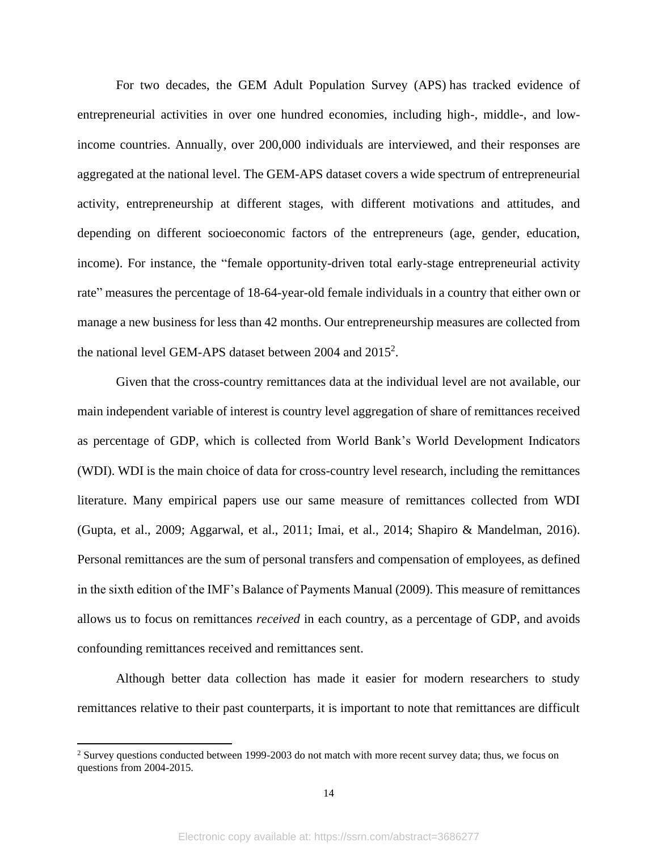For two decades, the GEM Adult Population Survey (APS) has tracked evidence of entrepreneurial activities in over one hundred economies, including high-, middle-, and lowincome countries. Annually, over 200,000 individuals are interviewed, and their responses are aggregated at the national level. The GEM-APS dataset covers a wide spectrum of entrepreneurial activity, entrepreneurship at different stages, with different motivations and attitudes, and depending on different socioeconomic factors of the entrepreneurs (age, gender, education, income). For instance, the "female opportunity-driven total early-stage entrepreneurial activity rate" measures the percentage of 18-64-year-old female individuals in a country that either own or manage a new business for less than 42 months. Our entrepreneurship measures are collected from the national level GEM-APS dataset between 2004 and 2015<sup>2</sup>.

Given that the cross-country remittances data at the individual level are not available, our main independent variable of interest is country level aggregation of share of remittances received as percentage of GDP, which is collected from World Bank's World Development Indicators (WDI). WDI is the main choice of data for cross-country level research, including the remittances literature. Many empirical papers use our same measure of remittances collected from WDI (Gupta, et al., 2009; Aggarwal, et al., 2011; Imai, et al., 2014; Shapiro & Mandelman, 2016). Personal remittances are the sum of personal transfers and compensation of employees, as defined in the sixth edition of the IMF's Balance of Payments Manual (2009). This measure of remittances allows us to focus on remittances *received* in each country, as a percentage of GDP, and avoids confounding remittances received and remittances sent.

Although better data collection has made it easier for modern researchers to study remittances relative to their past counterparts, it is important to note that remittances are difficult

<sup>&</sup>lt;sup>2</sup> Survey questions conducted between 1999-2003 do not match with more recent survey data; thus, we focus on questions from 2004-2015.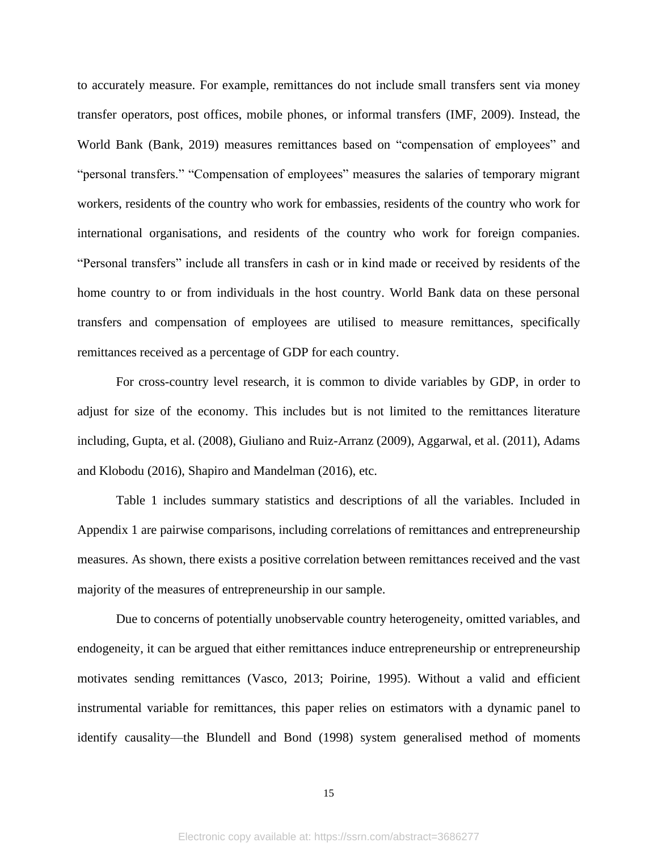to accurately measure. For example, remittances do not include small transfers sent via money transfer operators, post offices, mobile phones, or informal transfers (IMF, 2009). Instead, the World Bank (Bank, 2019) measures remittances based on "compensation of employees" and "personal transfers." "Compensation of employees" measures the salaries of temporary migrant workers, residents of the country who work for embassies, residents of the country who work for international organisations, and residents of the country who work for foreign companies. "Personal transfers" include all transfers in cash or in kind made or received by residents of the home country to or from individuals in the host country. World Bank data on these personal transfers and compensation of employees are utilised to measure remittances, specifically remittances received as a percentage of GDP for each country.

For cross-country level research, it is common to divide variables by GDP, in order to adjust for size of the economy. This includes but is not limited to the remittances literature including, Gupta, et al. (2008), Giuliano and Ruiz-Arranz (2009), Aggarwal, et al. (2011), Adams and Klobodu (2016), Shapiro and Mandelman (2016), etc.

Table 1 includes summary statistics and descriptions of all the variables. Included in Appendix 1 are pairwise comparisons, including correlations of remittances and entrepreneurship measures. As shown, there exists a positive correlation between remittances received and the vast majority of the measures of entrepreneurship in our sample.

Due to concerns of potentially unobservable country heterogeneity, omitted variables, and endogeneity, it can be argued that either remittances induce entrepreneurship or entrepreneurship motivates sending remittances (Vasco, 2013; Poirine, 1995). Without a valid and efficient instrumental variable for remittances, this paper relies on estimators with a dynamic panel to identify causality—the Blundell and Bond (1998) system generalised method of moments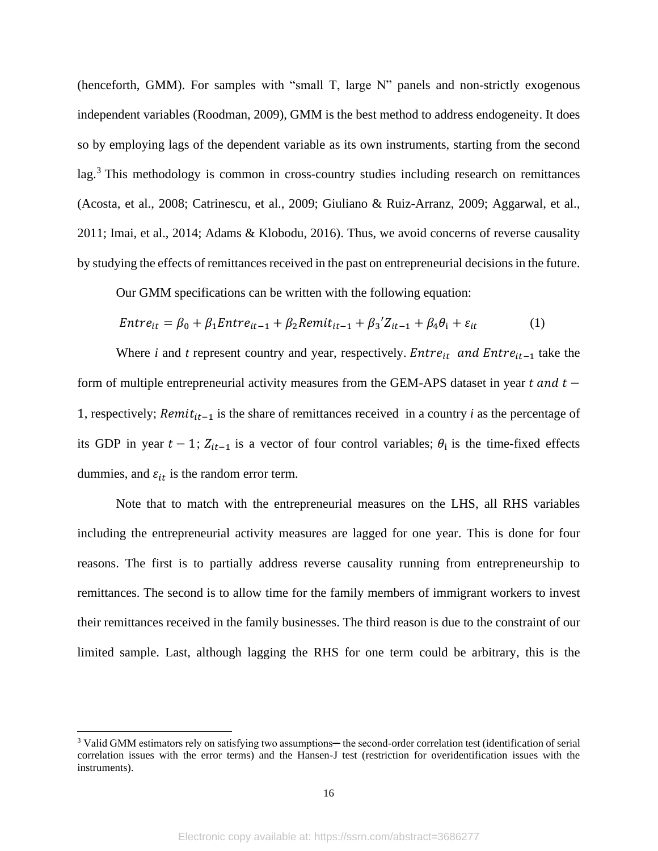(henceforth, GMM). For samples with "small T, large N" panels and non-strictly exogenous independent variables (Roodman, 2009), GMM is the best method to address endogeneity. It does so by employing lags of the dependent variable as its own instruments, starting from the second lag.<sup>3</sup> This methodology is common in cross-country studies including research on remittances (Acosta, et al., 2008; Catrinescu, et al., 2009; Giuliano & Ruiz-Arranz, 2009; Aggarwal, et al., 2011; Imai, et al., 2014; Adams & Klobodu, 2016). Thus, we avoid concerns of reverse causality by studying the effects of remittances received in the past on entrepreneurial decisions in the future.

Our GMM specifications can be written with the following equation:

$$
Entre_{it} = \beta_0 + \beta_1 Enter_{it-1} + \beta_2Remit_{it-1} + \beta_3' Z_{it-1} + \beta_4 \theta_i + \varepsilon_{it}
$$
 (1)

Where *i* and *t* represent country and year, respectively.  $Entre_{it}$  and  $Entre_{it-1}$  take the form of multiple entrepreneurial activity measures from the GEM-APS dataset in year  $t$  and  $t -$ 1, respectively;  $Remit_{it-1}$  is the share of remittances received in a country *i* as the percentage of its GDP in year  $t - 1$ ;  $Z_{it-1}$  is a vector of four control variables;  $\theta_i$  is the time-fixed effects dummies, and  $\varepsilon_{it}$  is the random error term.

Note that to match with the entrepreneurial measures on the LHS, all RHS variables including the entrepreneurial activity measures are lagged for one year. This is done for four reasons. The first is to partially address reverse causality running from entrepreneurship to remittances. The second is to allow time for the family members of immigrant workers to invest their remittances received in the family businesses. The third reason is due to the constraint of our limited sample. Last, although lagging the RHS for one term could be arbitrary, this is the

<sup>&</sup>lt;sup>3</sup> Valid GMM estimators rely on satisfying two assumptions— the second-order correlation test (identification of serial correlation issues with the error terms) and the Hansen-J test (restriction for overidentification issues with the instruments).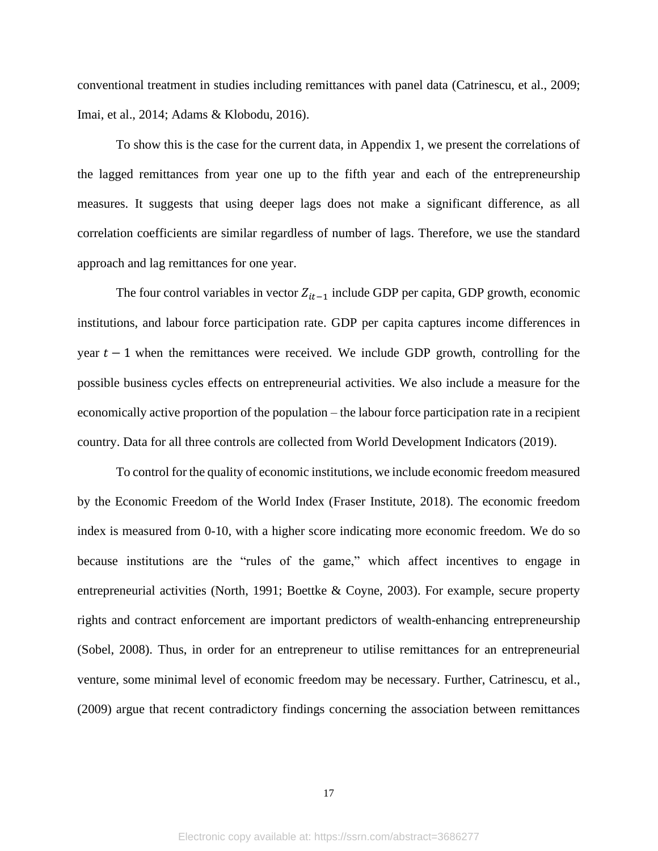conventional treatment in studies including remittances with panel data (Catrinescu, et al., 2009; Imai, et al., 2014; Adams & Klobodu, 2016).

To show this is the case for the current data, in Appendix 1, we present the correlations of the lagged remittances from year one up to the fifth year and each of the entrepreneurship measures. It suggests that using deeper lags does not make a significant difference, as all correlation coefficients are similar regardless of number of lags. Therefore, we use the standard approach and lag remittances for one year.

The four control variables in vector  $Z_{it-1}$  include GDP per capita, GDP growth, economic institutions, and labour force participation rate. GDP per capita captures income differences in year  $t - 1$  when the remittances were received. We include GDP growth, controlling for the possible business cycles effects on entrepreneurial activities. We also include a measure for the economically active proportion of the population – the labour force participation rate in a recipient country. Data for all three controls are collected from World Development Indicators (2019).

To control for the quality of economic institutions, we include economic freedom measured by the Economic Freedom of the World Index [\(Fraser Institute,](https://www.fraserinstitute.org/economic-freedom/map) 2018). The economic freedom index is measured from 0-10, with a higher score indicating more economic freedom. We do so because institutions are the "rules of the game," which affect incentives to engage in entrepreneurial activities (North, 1991; Boettke & Coyne, 2003). For example, secure property rights and contract enforcement are important predictors of wealth-enhancing entrepreneurship (Sobel, 2008). Thus, in order for an entrepreneur to utilise remittances for an entrepreneurial venture, some minimal level of economic freedom may be necessary. Further, Catrinescu, et al., (2009) argue that recent contradictory findings concerning the association between remittances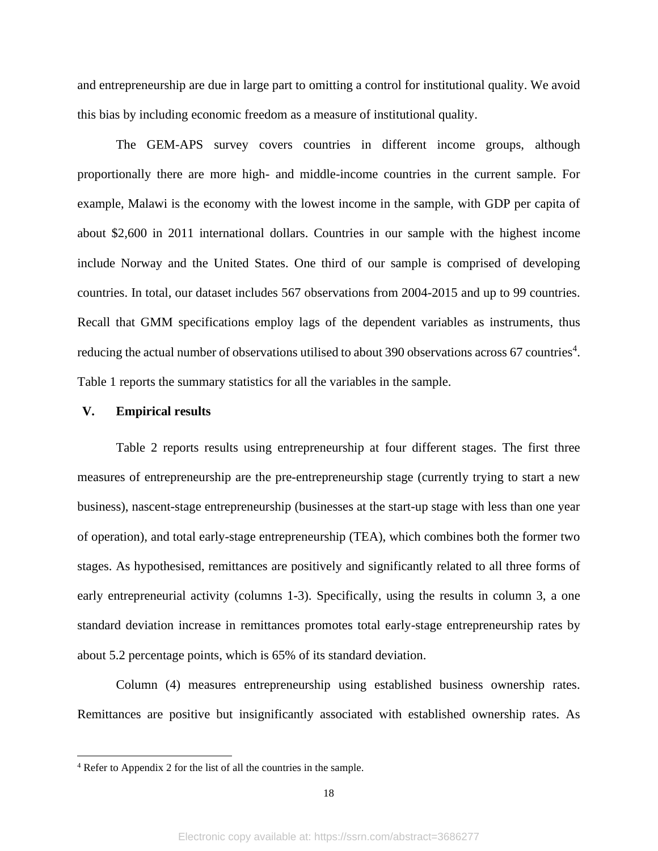and entrepreneurship are due in large part to omitting a control for institutional quality. We avoid this bias by including economic freedom as a measure of institutional quality.

The GEM-APS survey covers countries in different income groups, although proportionally there are more high- and middle-income countries in the current sample. For example, Malawi is the economy with the lowest income in the sample, with GDP per capita of about \$2,600 in 2011 international dollars. Countries in our sample with the highest income include Norway and the United States. One third of our sample is comprised of developing countries. In total, our dataset includes 567 observations from 2004-2015 and up to 99 countries. Recall that GMM specifications employ lags of the dependent variables as instruments, thus reducing the actual number of observations utilised to about 390 observations across 67 countries<sup>4</sup>. Table 1 reports the summary statistics for all the variables in the sample.

#### **V. Empirical results**

Table 2 reports results using entrepreneurship at four different stages. The first three measures of entrepreneurship are the pre-entrepreneurship stage (currently trying to start a new business), nascent-stage entrepreneurship (businesses at the start-up stage with less than one year of operation), and total early-stage entrepreneurship (TEA), which combines both the former two stages. As hypothesised, remittances are positively and significantly related to all three forms of early entrepreneurial activity (columns 1-3). Specifically, using the results in column 3, a one standard deviation increase in remittances promotes total early-stage entrepreneurship rates by about 5.2 percentage points, which is 65% of its standard deviation.

Column (4) measures entrepreneurship using established business ownership rates. Remittances are positive but insignificantly associated with established ownership rates. As

<sup>4</sup> Refer to Appendix 2 for the list of all the countries in the sample.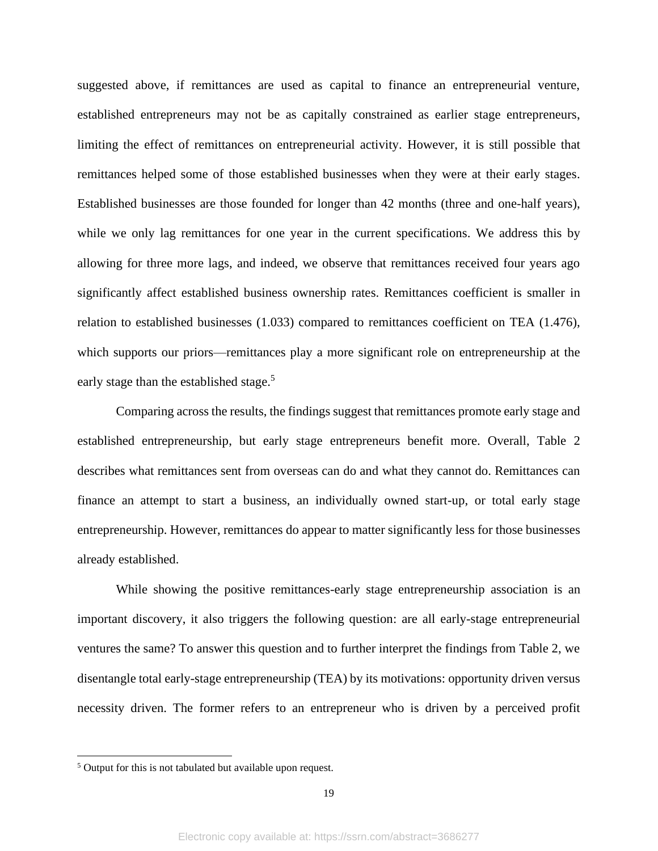suggested above, if remittances are used as capital to finance an entrepreneurial venture, established entrepreneurs may not be as capitally constrained as earlier stage entrepreneurs, limiting the effect of remittances on entrepreneurial activity. However, it is still possible that remittances helped some of those established businesses when they were at their early stages. Established businesses are those founded for longer than 42 months (three and one-half years), while we only lag remittances for one year in the current specifications. We address this by allowing for three more lags, and indeed, we observe that remittances received four years ago significantly affect established business ownership rates. Remittances coefficient is smaller in relation to established businesses (1.033) compared to remittances coefficient on TEA (1.476), which supports our priors—remittances play a more significant role on entrepreneurship at the early stage than the established stage. $5$ 

Comparing across the results, the findings suggest that remittances promote early stage and established entrepreneurship, but early stage entrepreneurs benefit more. Overall, Table 2 describes what remittances sent from overseas can do and what they cannot do. Remittances can finance an attempt to start a business, an individually owned start-up, or total early stage entrepreneurship. However, remittances do appear to matter significantly less for those businesses already established.

While showing the positive remittances-early stage entrepreneurship association is an important discovery, it also triggers the following question: are all early-stage entrepreneurial ventures the same? To answer this question and to further interpret the findings from Table 2, we disentangle total early-stage entrepreneurship (TEA) by its motivations: opportunity driven versus necessity driven. The former refers to an entrepreneur who is driven by a perceived profit

<sup>&</sup>lt;sup>5</sup> Output for this is not tabulated but available upon request.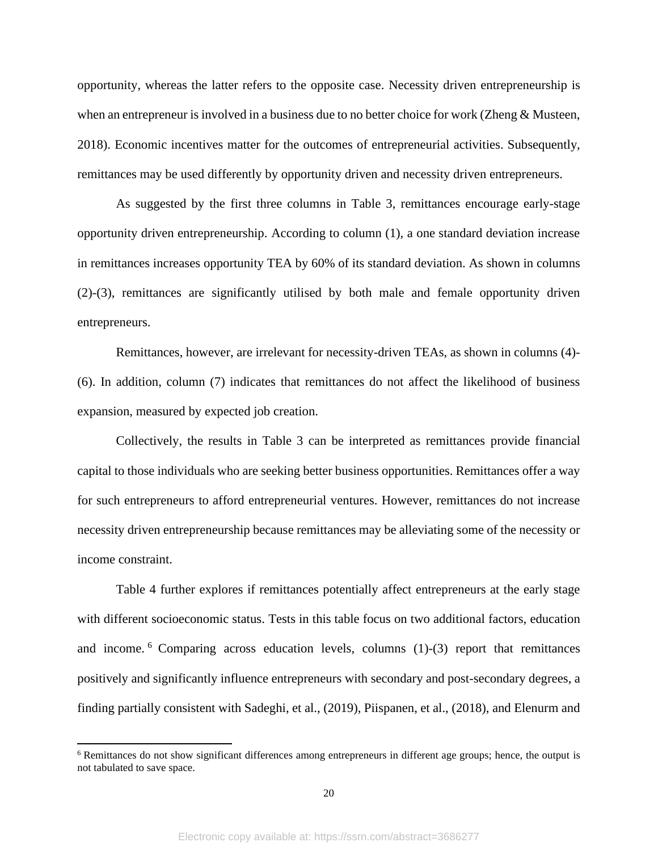opportunity, whereas the latter refers to the opposite case. Necessity driven entrepreneurship is when an entrepreneur is involved in a business due to no better choice for work (Zheng & Musteen, 2018). Economic incentives matter for the outcomes of entrepreneurial activities. Subsequently, remittances may be used differently by opportunity driven and necessity driven entrepreneurs.

As suggested by the first three columns in Table 3, remittances encourage early-stage opportunity driven entrepreneurship. According to column (1), a one standard deviation increase in remittances increases opportunity TEA by 60% of its standard deviation. As shown in columns (2)-(3), remittances are significantly utilised by both male and female opportunity driven entrepreneurs.

Remittances, however, are irrelevant for necessity-driven TEAs, as shown in columns (4)- (6). In addition, column (7) indicates that remittances do not affect the likelihood of business expansion, measured by expected job creation.

Collectively, the results in Table 3 can be interpreted as remittances provide financial capital to those individuals who are seeking better business opportunities. Remittances offer a way for such entrepreneurs to afford entrepreneurial ventures. However, remittances do not increase necessity driven entrepreneurship because remittances may be alleviating some of the necessity or income constraint.

Table 4 further explores if remittances potentially affect entrepreneurs at the early stage with different socioeconomic status. Tests in this table focus on two additional factors, education and income.  $6$  Comparing across education levels, columns  $(1)-(3)$  report that remittances positively and significantly influence entrepreneurs with secondary and post-secondary degrees, a finding partially consistent with Sadeghi, et al., (2019), Piispanen, et al., (2018), and Elenurm and

<sup>6</sup> Remittances do not show significant differences among entrepreneurs in different age groups; hence, the output is not tabulated to save space.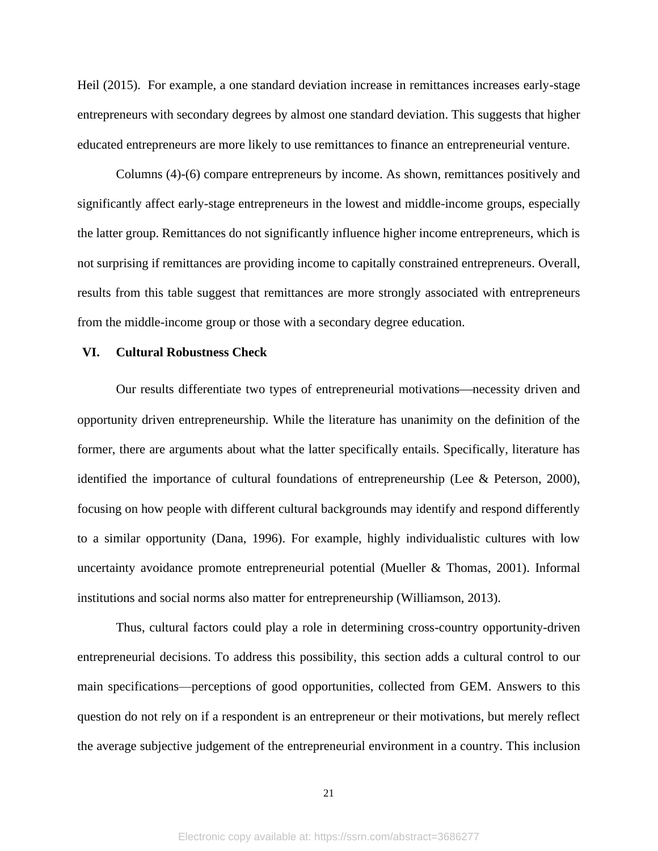Heil (2015). For example, a one standard deviation increase in remittances increases early-stage entrepreneurs with secondary degrees by almost one standard deviation. This suggests that higher educated entrepreneurs are more likely to use remittances to finance an entrepreneurial venture.

Columns (4)-(6) compare entrepreneurs by income. As shown, remittances positively and significantly affect early-stage entrepreneurs in the lowest and middle-income groups, especially the latter group. Remittances do not significantly influence higher income entrepreneurs, which is not surprising if remittances are providing income to capitally constrained entrepreneurs. Overall, results from this table suggest that remittances are more strongly associated with entrepreneurs from the middle-income group or those with a secondary degree education.

#### **VI. Cultural Robustness Check**

Our results differentiate two types of entrepreneurial motivations—necessity driven and opportunity driven entrepreneurship. While the literature has unanimity on the definition of the former, there are arguments about what the latter specifically entails. Specifically, literature has identified the importance of cultural foundations of entrepreneurship (Lee & Peterson, 2000), focusing on how people with different cultural backgrounds may identify and respond differently to a similar opportunity (Dana, 1996). For example, highly individualistic cultures with low uncertainty avoidance promote entrepreneurial potential (Mueller & Thomas, 2001). Informal institutions and social norms also matter for entrepreneurship (Williamson, 2013).

Thus, cultural factors could play a role in determining cross-country opportunity-driven entrepreneurial decisions. To address this possibility, this section adds a cultural control to our main specifications—perceptions of good opportunities, collected from GEM. Answers to this question do not rely on if a respondent is an entrepreneur or their motivations, but merely reflect the average subjective judgement of the entrepreneurial environment in a country. This inclusion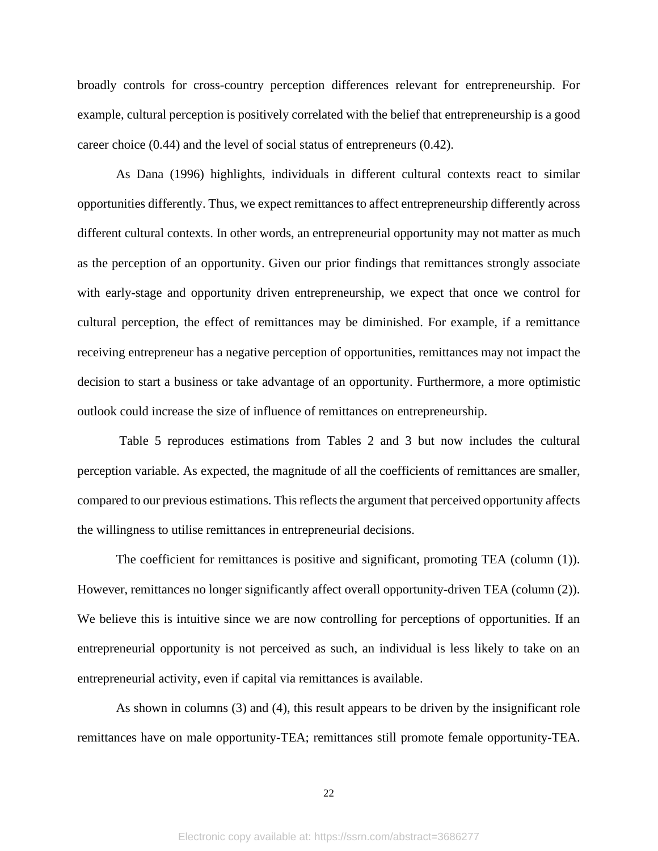broadly controls for cross-country perception differences relevant for entrepreneurship. For example, cultural perception is positively correlated with the belief that entrepreneurship is a good career choice (0.44) and the level of social status of entrepreneurs (0.42).

As Dana (1996) highlights, individuals in different cultural contexts react to similar opportunities differently. Thus, we expect remittances to affect entrepreneurship differently across different cultural contexts. In other words, an entrepreneurial opportunity may not matter as much as the perception of an opportunity. Given our prior findings that remittances strongly associate with early-stage and opportunity driven entrepreneurship, we expect that once we control for cultural perception, the effect of remittances may be diminished. For example, if a remittance receiving entrepreneur has a negative perception of opportunities, remittances may not impact the decision to start a business or take advantage of an opportunity. Furthermore, a more optimistic outlook could increase the size of influence of remittances on entrepreneurship.

Table 5 reproduces estimations from Tables 2 and 3 but now includes the cultural perception variable. As expected, the magnitude of all the coefficients of remittances are smaller, compared to our previous estimations. This reflects the argument that perceived opportunity affects the willingness to utilise remittances in entrepreneurial decisions.

The coefficient for remittances is positive and significant, promoting TEA (column (1)). However, remittances no longer significantly affect overall opportunity-driven TEA (column (2)). We believe this is intuitive since we are now controlling for perceptions of opportunities. If an entrepreneurial opportunity is not perceived as such, an individual is less likely to take on an entrepreneurial activity, even if capital via remittances is available.

As shown in columns (3) and (4), this result appears to be driven by the insignificant role remittances have on male opportunity-TEA; remittances still promote female opportunity-TEA.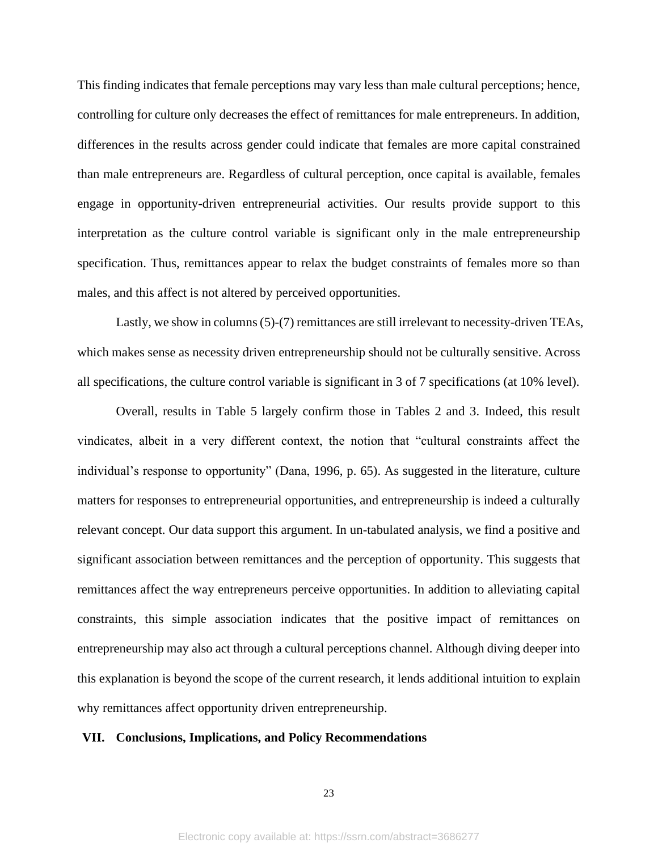This finding indicates that female perceptions may vary less than male cultural perceptions; hence, controlling for culture only decreases the effect of remittances for male entrepreneurs. In addition, differences in the results across gender could indicate that females are more capital constrained than male entrepreneurs are. Regardless of cultural perception, once capital is available, females engage in opportunity-driven entrepreneurial activities. Our results provide support to this interpretation as the culture control variable is significant only in the male entrepreneurship specification. Thus, remittances appear to relax the budget constraints of females more so than males, and this affect is not altered by perceived opportunities.

Lastly, we show in columns (5)-(7) remittances are still irrelevant to necessity-driven TEAs, which makes sense as necessity driven entrepreneurship should not be culturally sensitive. Across all specifications, the culture control variable is significant in 3 of 7 specifications (at 10% level).

Overall, results in Table 5 largely confirm those in Tables 2 and 3. Indeed, this result vindicates, albeit in a very different context, the notion that "cultural constraints affect the individual's response to opportunity" (Dana, 1996, p. 65). As suggested in the literature, culture matters for responses to entrepreneurial opportunities, and entrepreneurship is indeed a culturally relevant concept. Our data support this argument. In un-tabulated analysis, we find a positive and significant association between remittances and the perception of opportunity. This suggests that remittances affect the way entrepreneurs perceive opportunities. In addition to alleviating capital constraints, this simple association indicates that the positive impact of remittances on entrepreneurship may also act through a cultural perceptions channel. Although diving deeper into this explanation is beyond the scope of the current research, it lends additional intuition to explain why remittances affect opportunity driven entrepreneurship.

## **VII. Conclusions, Implications, and Policy Recommendations**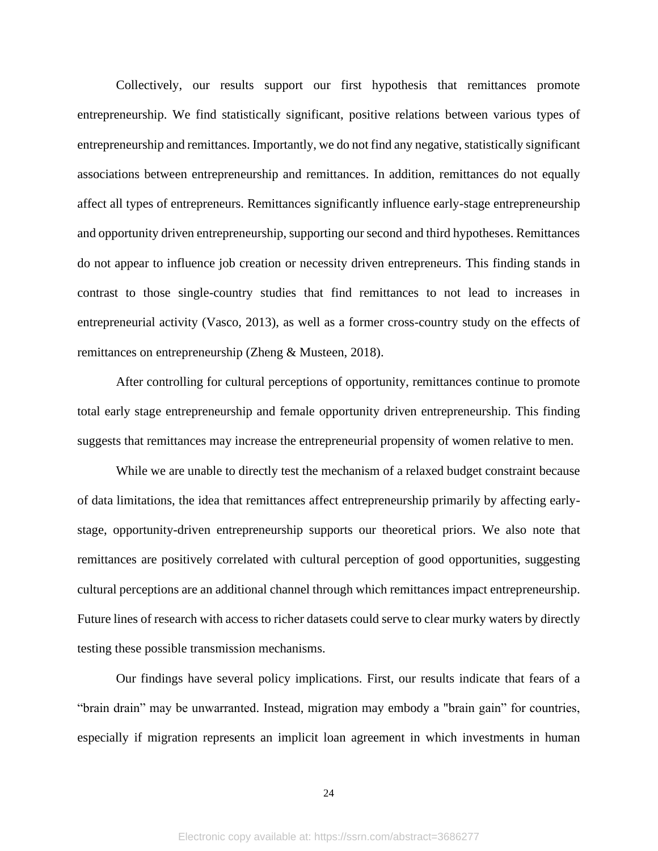Collectively, our results support our first hypothesis that remittances promote entrepreneurship. We find statistically significant, positive relations between various types of entrepreneurship and remittances. Importantly, we do not find any negative, statistically significant associations between entrepreneurship and remittances. In addition, remittances do not equally affect all types of entrepreneurs. Remittances significantly influence early-stage entrepreneurship and opportunity driven entrepreneurship, supporting our second and third hypotheses. Remittances do not appear to influence job creation or necessity driven entrepreneurs. This finding stands in contrast to those single-country studies that find remittances to not lead to increases in entrepreneurial activity (Vasco, 2013), as well as a former cross-country study on the effects of remittances on entrepreneurship (Zheng & Musteen, 2018).

After controlling for cultural perceptions of opportunity, remittances continue to promote total early stage entrepreneurship and female opportunity driven entrepreneurship. This finding suggests that remittances may increase the entrepreneurial propensity of women relative to men.

While we are unable to directly test the mechanism of a relaxed budget constraint because of data limitations, the idea that remittances affect entrepreneurship primarily by affecting earlystage, opportunity-driven entrepreneurship supports our theoretical priors. We also note that remittances are positively correlated with cultural perception of good opportunities, suggesting cultural perceptions are an additional channel through which remittances impact entrepreneurship. Future lines of research with access to richer datasets could serve to clear murky waters by directly testing these possible transmission mechanisms.

Our findings have several policy implications. First, our results indicate that fears of a "brain drain" may be unwarranted. Instead, migration may embody a "brain gain" for countries, especially if migration represents an implicit loan agreement in which investments in human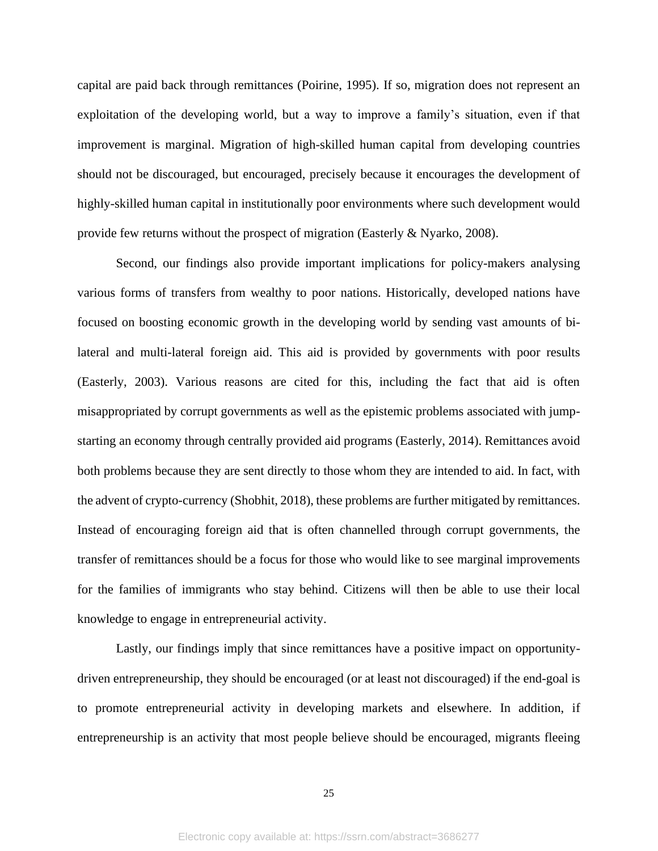capital are paid back through remittances (Poirine, 1995). If so, migration does not represent an exploitation of the developing world, but a way to improve a family's situation, even if that improvement is marginal. Migration of high-skilled human capital from developing countries should not be discouraged, but encouraged, precisely because it encourages the development of highly-skilled human capital in institutionally poor environments where such development would provide few returns without the prospect of migration (Easterly & Nyarko, 2008).

Second, our findings also provide important implications for policy-makers analysing various forms of transfers from wealthy to poor nations. Historically, developed nations have focused on boosting economic growth in the developing world by sending vast amounts of bilateral and multi-lateral foreign aid. This aid is provided by governments with poor results (Easterly, 2003). Various reasons are cited for this, including the fact that aid is often misappropriated by corrupt governments as well as the epistemic problems associated with jumpstarting an economy through centrally provided aid programs (Easterly, 2014). Remittances avoid both problems because they are sent directly to those whom they are intended to aid. In fact, with the advent of crypto-currency (Shobhit, 2018), these problems are further mitigated by remittances. Instead of encouraging foreign aid that is often channelled through corrupt governments, the transfer of remittances should be a focus for those who would like to see marginal improvements for the families of immigrants who stay behind. Citizens will then be able to use their local knowledge to engage in entrepreneurial activity.

Lastly, our findings imply that since remittances have a positive impact on opportunitydriven entrepreneurship, they should be encouraged (or at least not discouraged) if the end-goal is to promote entrepreneurial activity in developing markets and elsewhere. In addition, if entrepreneurship is an activity that most people believe should be encouraged, migrants fleeing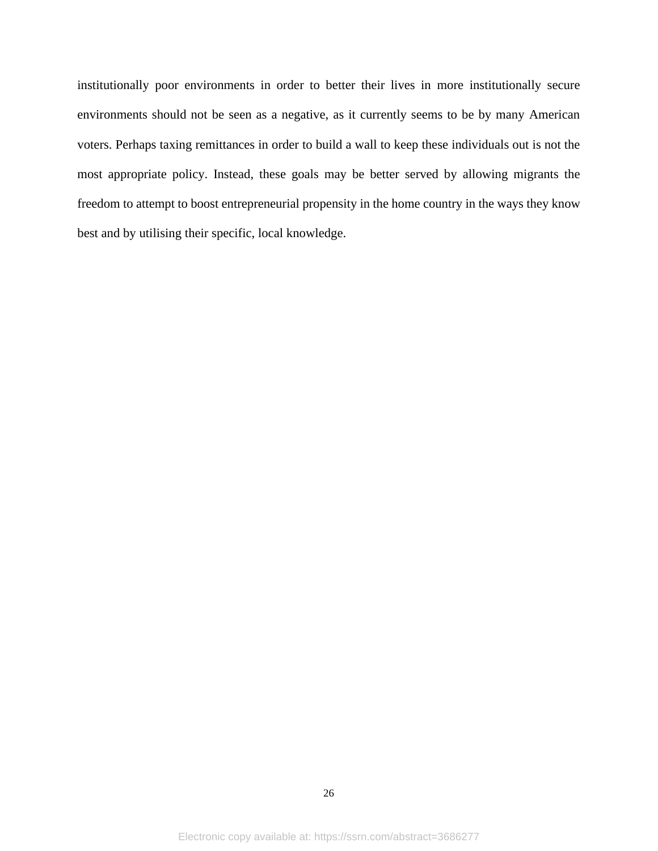institutionally poor environments in order to better their lives in more institutionally secure environments should not be seen as a negative, as it currently seems to be by many American voters. Perhaps taxing remittances in order to build a wall to keep these individuals out is not the most appropriate policy. Instead, these goals may be better served by allowing migrants the freedom to attempt to boost entrepreneurial propensity in the home country in the ways they know best and by utilising their specific, local knowledge.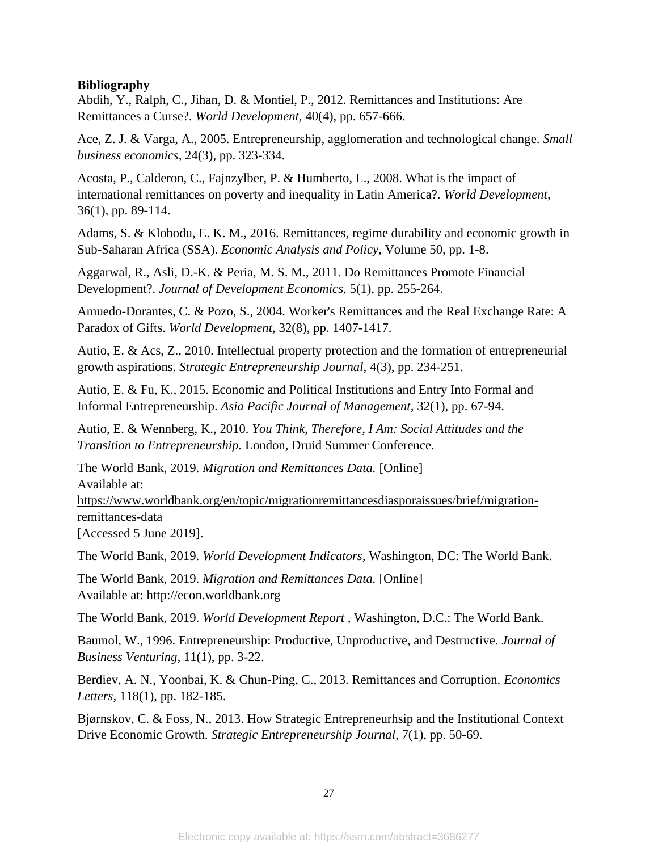## **Bibliography**

Abdih, Y., Ralph, C., Jihan, D. & Montiel, P., 2012. Remittances and Institutions: Are Remittances a Curse?. *World Development,* 40(4), pp. 657-666.

Ace, Z. J. & Varga, A., 2005. Entrepreneurship, agglomeration and technological change. *Small business economics,* 24(3), pp. 323-334.

Acosta, P., Calderon, C., Fajnzylber, P. & Humberto, L., 2008. What is the impact of international remittances on poverty and inequality in Latin America?. *World Development,*  36(1), pp. 89-114.

Adams, S. & Klobodu, E. K. M., 2016. Remittances, regime durability and economic growth in Sub-Saharan Africa (SSA). *Economic Analysis and Policy,* Volume 50, pp. 1-8.

Aggarwal, R., Asli, D.-K. & Peria, M. S. M., 2011. Do Remittances Promote Financial Development?. *Journal of Development Economics,* 5(1), pp. 255-264.

Amuedo-Dorantes, C. & Pozo, S., 2004. Worker's Remittances and the Real Exchange Rate: A Paradox of Gifts. *World Development,* 32(8), pp. 1407-1417.

Autio, E. & Acs, Z., 2010. Intellectual property protection and the formation of entrepreneurial growth aspirations. *Strategic Entrepreneurship Journal,* 4(3), pp. 234-251.

Autio, E. & Fu, K., 2015. Economic and Political Institutions and Entry Into Formal and Informal Entrepreneurship. *Asia Pacific Journal of Management,* 32(1), pp. 67-94.

Autio, E. & Wennberg, K., 2010. *You Think, Therefore, I Am: Social Attitudes and the Transition to Entrepreneurship.* London, Druid Summer Conference.

The World Bank, 2019. *Migration and Remittances Data.* [Online] Available at: https://www.worldbank.org/en/topic/migrationremittancesdiasporaissues/brief/migrationremittances-data [Accessed 5 June 2019].

The World Bank, 2019. *World Development Indicators,* Washington, DC: The World Bank.

The World Bank, 2019. *Migration and Remittances Data.* [Online] Available at: http://econ.worldbank.org

The World Bank, 2019. *World Development Report ,* Washington, D.C.: The World Bank.

Baumol, W., 1996. Entrepreneurship: Productive, Unproductive, and Destructive. *Journal of Business Venturing,* 11(1), pp. 3-22.

Berdiev, A. N., Yoonbai, K. & Chun-Ping, C., 2013. Remittances and Corruption. *Economics Letters,* 118(1), pp. 182-185.

Bjørnskov, C. & Foss, N., 2013. How Strategic Entrepreneurhsip and the Institutional Context Drive Economic Growth. *Strategic Entrepreneurship Journal,* 7(1), pp. 50-69.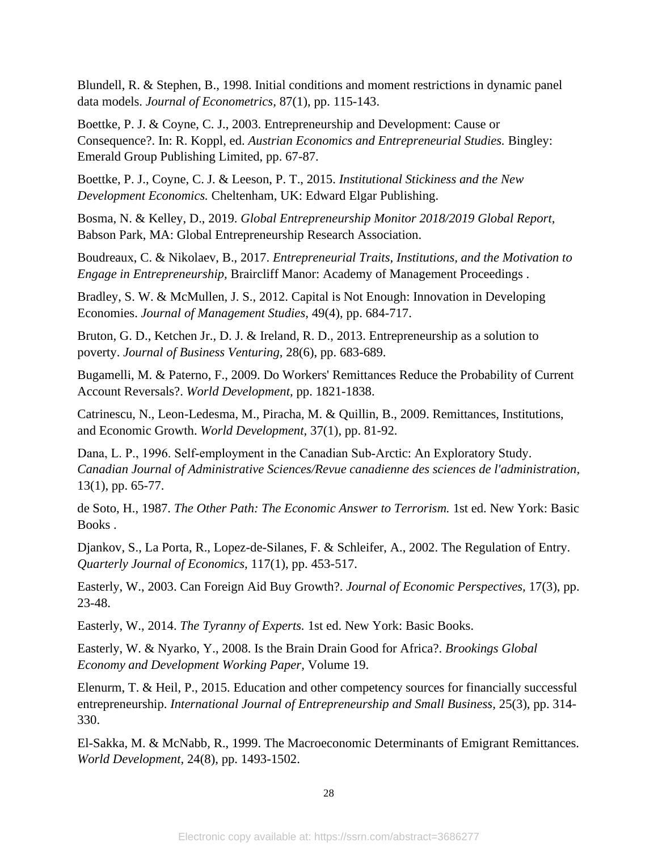Blundell, R. & Stephen, B., 1998. Initial conditions and moment restrictions in dynamic panel data models. *Journal of Econometrics,* 87(1), pp. 115-143.

Boettke, P. J. & Coyne, C. J., 2003. Entrepreneurship and Development: Cause or Consequence?. In: R. Koppl, ed. *Austrian Economics and Entrepreneurial Studies.* Bingley: Emerald Group Publishing Limited, pp. 67-87.

Boettke, P. J., Coyne, C. J. & Leeson, P. T., 2015. *Institutional Stickiness and the New Development Economics.* Cheltenham, UK: Edward Elgar Publishing.

Bosma, N. & Kelley, D., 2019. *Global Entrepreneurship Monitor 2018/2019 Global Report,*  Babson Park, MA: Global Entrepreneurship Research Association.

Boudreaux, C. & Nikolaev, B., 2017. *Entrepreneurial Traits, Institutions, and the Motivation to Engage in Entrepreneurship,* Braircliff Manor: Academy of Management Proceedings .

Bradley, S. W. & McMullen, J. S., 2012. Capital is Not Enough: Innovation in Developing Economies. *Journal of Management Studies,* 49(4), pp. 684-717.

Bruton, G. D., Ketchen Jr., D. J. & Ireland, R. D., 2013. Entrepreneurship as a solution to poverty. *Journal of Business Venturing,* 28(6), pp. 683-689.

Bugamelli, M. & Paterno, F., 2009. Do Workers' Remittances Reduce the Probability of Current Account Reversals?. *World Development,* pp. 1821-1838.

Catrinescu, N., Leon-Ledesma, M., Piracha, M. & Quillin, B., 2009. Remittances, Institutions, and Economic Growth. *World Development,* 37(1), pp. 81-92.

Dana, L. P., 1996. Self‐employment in the Canadian Sub‐Arctic: An Exploratory Study. *Canadian Journal of Administrative Sciences/Revue canadienne des sciences de l'administration,*  13(1), pp. 65-77.

de Soto, H., 1987. *The Other Path: The Economic Answer to Terrorism.* 1st ed. New York: Basic Books .

Djankov, S., La Porta, R., Lopez-de-Silanes, F. & Schleifer, A., 2002. The Regulation of Entry. *Quarterly Journal of Economics,* 117(1), pp. 453-517.

Easterly, W., 2003. Can Foreign Aid Buy Growth?. *Journal of Economic Perspectives,* 17(3), pp. 23-48.

Easterly, W., 2014. *The Tyranny of Experts.* 1st ed. New York: Basic Books.

Easterly, W. & Nyarko, Y., 2008. Is the Brain Drain Good for Africa?. *Brookings Global Economy and Development Working Paper,* Volume 19.

Elenurm, T. & Heil, P., 2015. Education and other competency sources for financially successful entrepreneurship. *International Journal of Entrepreneurship and Small Business,* 25(3), pp. 314- 330.

El-Sakka, M. & McNabb, R., 1999. The Macroeconomic Determinants of Emigrant Remittances. *World Development,* 24(8), pp. 1493-1502.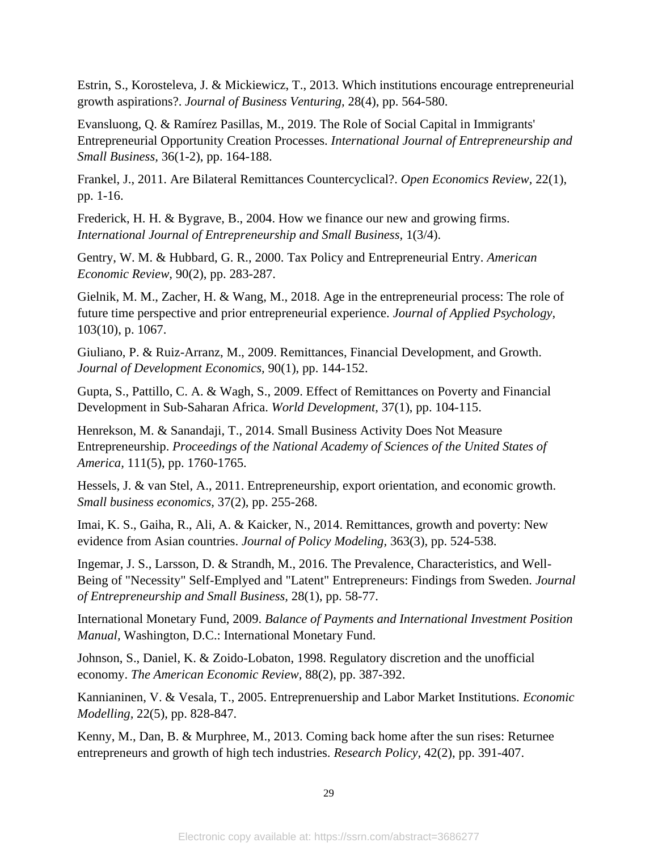Estrin, S., Korosteleva, J. & Mickiewicz, T., 2013. Which institutions encourage entrepreneurial growth aspirations?. *Journal of Business Venturing,* 28(4), pp. 564-580.

Evansluong, Q. & Ramírez Pasillas, M., 2019. The Role of Social Capital in Immigrants' Entrepreneurial Opportunity Creation Processes. *International Journal of Entrepreneurship and Small Business,* 36(1-2), pp. 164-188.

Frankel, J., 2011. Are Bilateral Remittances Countercyclical?. *Open Economics Review,* 22(1), pp. 1-16.

Frederick, H. H. & Bygrave, B., 2004. How we finance our new and growing firms. *International Journal of Entrepreneurship and Small Business,* 1(3/4).

Gentry, W. M. & Hubbard, G. R., 2000. Tax Policy and Entrepreneurial Entry. *American Economic Review,* 90(2), pp. 283-287.

Gielnik, M. M., Zacher, H. & Wang, M., 2018. Age in the entrepreneurial process: The role of future time perspective and prior entrepreneurial experience. *Journal of Applied Psychology,*  103(10), p. 1067.

Giuliano, P. & Ruiz-Arranz, M., 2009. Remittances, Financial Development, and Growth. *Journal of Development Economics,* 90(1), pp. 144-152.

Gupta, S., Pattillo, C. A. & Wagh, S., 2009. Effect of Remittances on Poverty and Financial Development in Sub-Saharan Africa. *World Development,* 37(1), pp. 104-115.

Henrekson, M. & Sanandaji, T., 2014. Small Business Activity Does Not Measure Entrepreneurship. *Proceedings of the National Academy of Sciences of the United States of America,* 111(5), pp. 1760-1765.

Hessels, J. & van Stel, A., 2011. Entrepreneurship, export orientation, and economic growth. *Small business economics,* 37(2), pp. 255-268.

Imai, K. S., Gaiha, R., Ali, A. & Kaicker, N., 2014. Remittances, growth and poverty: New evidence from Asian countries. *Journal of Policy Modeling,* 363(3), pp. 524-538.

Ingemar, J. S., Larsson, D. & Strandh, M., 2016. The Prevalence, Characteristics, and Well-Being of "Necessity" Self-Emplyed and "Latent" Entrepreneurs: Findings from Sweden. *Journal of Entrepreneurship and Small Business,* 28(1), pp. 58-77.

International Monetary Fund, 2009. *Balance of Payments and International Investment Position Manual,* Washington, D.C.: International Monetary Fund.

Johnson, S., Daniel, K. & Zoido-Lobaton, 1998. Regulatory discretion and the unofficial economy. *The American Economic Review,* 88(2), pp. 387-392.

Kannianinen, V. & Vesala, T., 2005. Entreprenuership and Labor Market Institutions. *Economic Modelling,* 22(5), pp. 828-847.

Kenny, M., Dan, B. & Murphree, M., 2013. Coming back home after the sun rises: Returnee entrepreneurs and growth of high tech industries. *Research Policy,* 42(2), pp. 391-407.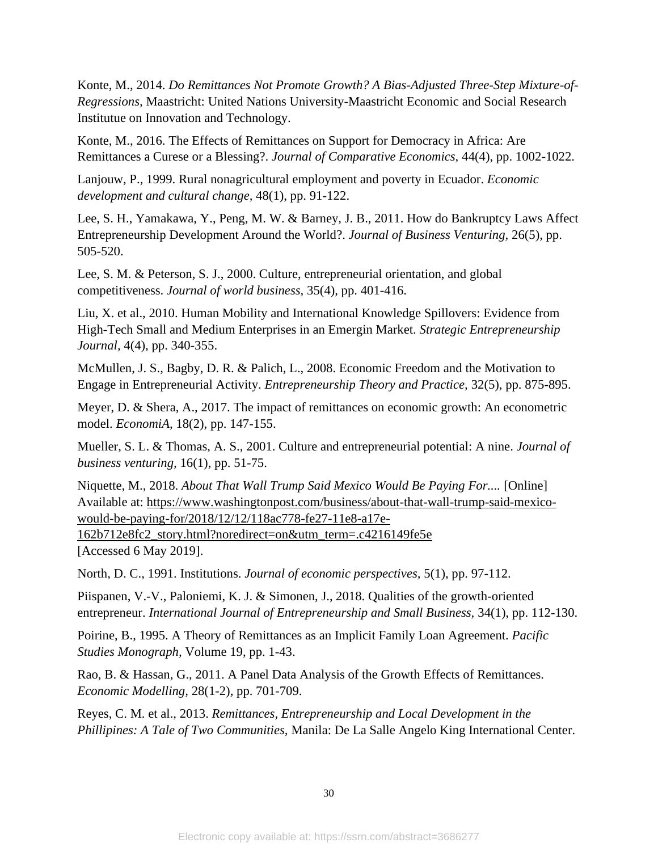Konte, M., 2014. *Do Remittances Not Promote Growth? A Bias-Adjusted Three-Step Mixture-of-Regressions,* Maastricht: United Nations University-Maastricht Economic and Social Research Institutue on Innovation and Technology.

Konte, M., 2016. The Effects of Remittances on Support for Democracy in Africa: Are Remittances a Curese or a Blessing?. *Journal of Comparative Economics,* 44(4), pp. 1002-1022.

Lanjouw, P., 1999. Rural nonagricultural employment and poverty in Ecuador. *Economic development and cultural change,* 48(1), pp. 91-122.

Lee, S. H., Yamakawa, Y., Peng, M. W. & Barney, J. B., 2011. How do Bankruptcy Laws Affect Entrepreneurship Development Around the World?. *Journal of Business Venturing,* 26(5), pp. 505-520.

Lee, S. M. & Peterson, S. J., 2000. Culture, entrepreneurial orientation, and global competitiveness. *Journal of world business,* 35(4), pp. 401-416.

Liu, X. et al., 2010. Human Mobility and International Knowledge Spillovers: Evidence from High-Tech Small and Medium Enterprises in an Emergin Market. *Strategic Entrepreneurship Journal,* 4(4), pp. 340-355.

McMullen, J. S., Bagby, D. R. & Palich, L., 2008. Economic Freedom and the Motivation to Engage in Entrepreneurial Activity. *Entrepreneurship Theory and Practice,* 32(5), pp. 875-895.

Meyer, D. & Shera, A., 2017. The impact of remittances on economic growth: An econometric model. *EconomiA,* 18(2), pp. 147-155.

Mueller, S. L. & Thomas, A. S., 2001. Culture and entrepreneurial potential: A nine. *Journal of business venturing,* 16(1), pp. 51-75.

Niquette, M., 2018. *About That Wall Trump Said Mexico Would Be Paying For....* [Online] Available at: https://www.washingtonpost.com/business/about-that-wall-trump-said-mexicowould-be-paying-for/2018/12/12/118ac778-fe27-11e8-a17e-

162b712e8fc2\_story.html?noredirect=on&utm\_term=.c4216149fe5e [Accessed 6 May 2019].

North, D. C., 1991. Institutions. *Journal of economic perspectives,* 5(1), pp. 97-112.

Piispanen, V.-V., Paloniemi, K. J. & Simonen, J., 2018. Qualities of the growth-oriented entrepreneur. *International Journal of Entrepreneurship and Small Business,* 34(1), pp. 112-130.

Poirine, B., 1995. A Theory of Remittances as an Implicit Family Loan Agreement. *Pacific Studies Monograph,* Volume 19, pp. 1-43.

Rao, B. & Hassan, G., 2011. A Panel Data Analysis of the Growth Effects of Remittances. *Economic Modelling,* 28(1-2), pp. 701-709.

Reyes, C. M. et al., 2013. *Remittances, Entrepreneurship and Local Development in the Phillipines: A Tale of Two Communities,* Manila: De La Salle Angelo King International Center.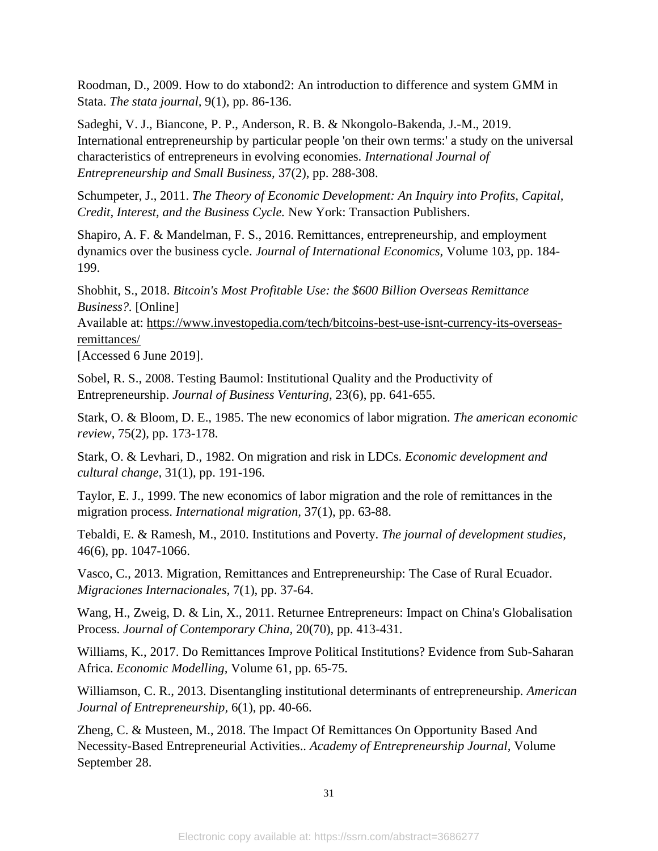Roodman, D., 2009. How to do xtabond2: An introduction to difference and system GMM in Stata. *The stata journal,* 9(1), pp. 86-136.

Sadeghi, V. J., Biancone, P. P., Anderson, R. B. & Nkongolo-Bakenda, J.-M., 2019. International entrepreneurship by particular people 'on their own terms:' a study on the universal characteristics of entrepreneurs in evolving economies. *International Journal of Entrepreneurship and Small Business,* 37(2), pp. 288-308.

Schumpeter, J., 2011. *The Theory of Economic Development: An Inquiry into Profits, Capital, Credit, Interest, and the Business Cycle.* New York: Transaction Publishers.

Shapiro, A. F. & Mandelman, F. S., 2016. Remittances, entrepreneurship, and employment dynamics over the business cycle. *Journal of International Economics,* Volume 103, pp. 184- 199.

Shobhit, S., 2018. *Bitcoin's Most Profitable Use: the \$600 Billion Overseas Remittance Business?.* [Online]

Available at: https://www.investopedia.com/tech/bitcoins-best-use-isnt-currency-its-overseasremittances/

[Accessed 6 June 2019].

Sobel, R. S., 2008. Testing Baumol: Institutional Quality and the Productivity of Entrepreneurship. *Journal of Business Venturing,* 23(6), pp. 641-655.

Stark, O. & Bloom, D. E., 1985. The new economics of labor migration. *The american economic review,* 75(2), pp. 173-178.

Stark, O. & Levhari, D., 1982. On migration and risk in LDCs. *Economic development and cultural change,* 31(1), pp. 191-196.

Taylor, E. J., 1999. The new economics of labor migration and the role of remittances in the migration process. *International migration,* 37(1), pp. 63-88.

Tebaldi, E. & Ramesh, M., 2010. Institutions and Poverty. *The journal of development studies,*  46(6), pp. 1047-1066.

Vasco, C., 2013. Migration, Remittances and Entrepreneurship: The Case of Rural Ecuador. *Migraciones Internacionales,* 7(1), pp. 37-64.

Wang, H., Zweig, D. & Lin, X., 2011. Returnee Entrepreneurs: Impact on China's Globalisation Process. *Journal of Contemporary China,* 20(70), pp. 413-431.

Williams, K., 2017. Do Remittances Improve Political Institutions? Evidence from Sub-Saharan Africa. *Economic Modelling,* Volume 61, pp. 65-75.

Williamson, C. R., 2013. Disentangling institutional determinants of entrepreneurship. *American Journal of Entrepreneurship,* 6(1), pp. 40-66.

Zheng, C. & Musteen, M., 2018. The Impact Of Remittances On Opportunity Based And Necessity-Based Entrepreneurial Activities.. *Academy of Entrepreneurship Journal,* Volume September 28.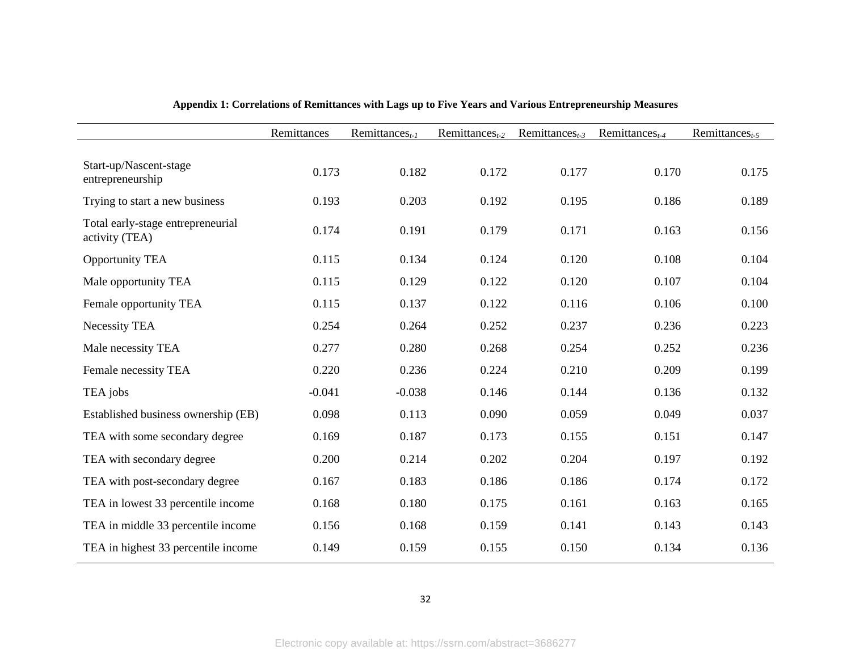|                                                     | Remittances | $Remittances_{t-1}$ | Remittances $_{t-2}$ | Remittances $_{t-3}$ | Remittances $_{t-4}$ | Remittances $_{t-5}$ |
|-----------------------------------------------------|-------------|---------------------|----------------------|----------------------|----------------------|----------------------|
| Start-up/Nascent-stage<br>entrepreneurship          | 0.173       | 0.182               | 0.172                | 0.177                | 0.170                | 0.175                |
| Trying to start a new business                      | 0.193       | 0.203               | 0.192                | 0.195                | 0.186                | 0.189                |
| Total early-stage entrepreneurial<br>activity (TEA) | 0.174       | 0.191               | 0.179                | 0.171                | 0.163                | 0.156                |
| <b>Opportunity TEA</b>                              | 0.115       | 0.134               | 0.124                | 0.120                | 0.108                | 0.104                |
| Male opportunity TEA                                | 0.115       | 0.129               | 0.122                | 0.120                | 0.107                | 0.104                |
| Female opportunity TEA                              | 0.115       | 0.137               | 0.122                | 0.116                | 0.106                | 0.100                |
| Necessity TEA                                       | 0.254       | 0.264               | 0.252                | 0.237                | 0.236                | 0.223                |
| Male necessity TEA                                  | 0.277       | 0.280               | 0.268                | 0.254                | 0.252                | 0.236                |
| Female necessity TEA                                | 0.220       | 0.236               | 0.224                | 0.210                | 0.209                | 0.199                |
| TEA jobs                                            | $-0.041$    | $-0.038$            | 0.146                | 0.144                | 0.136                | 0.132                |
| Established business ownership (EB)                 | 0.098       | 0.113               | 0.090                | 0.059                | 0.049                | 0.037                |
| TEA with some secondary degree                      | 0.169       | 0.187               | 0.173                | 0.155                | 0.151                | 0.147                |
| TEA with secondary degree                           | 0.200       | 0.214               | 0.202                | 0.204                | 0.197                | 0.192                |
| TEA with post-secondary degree                      | 0.167       | 0.183               | 0.186                | 0.186                | 0.174                | 0.172                |
| TEA in lowest 33 percentile income                  | 0.168       | 0.180               | 0.175                | 0.161                | 0.163                | 0.165                |
| TEA in middle 33 percentile income                  | 0.156       | 0.168               | 0.159                | 0.141                | 0.143                | 0.143                |
| TEA in highest 33 percentile income                 | 0.149       | 0.159               | 0.155                | 0.150                | 0.134                | 0.136                |

# **Appendix 1: Correlations of Remittances with Lags up to Five Years and Various Entrepreneurship Measures**

32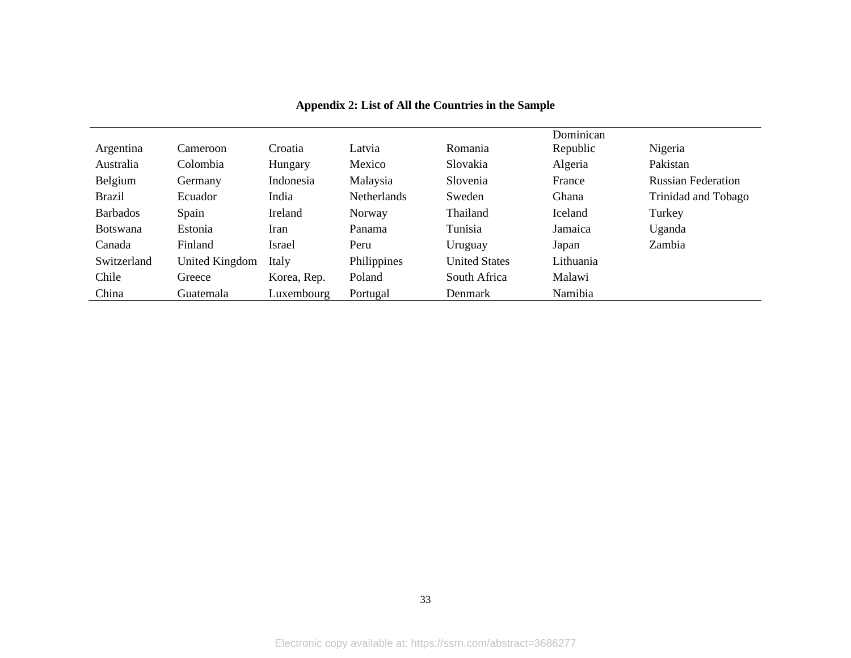|                 |                |             |             |                      | Dominican |                           |
|-----------------|----------------|-------------|-------------|----------------------|-----------|---------------------------|
| Argentina       | Cameroon       | Croatia     | Latvia      | Romania              | Republic  | Nigeria                   |
| Australia       | Colombia       | Hungary     | Mexico      | Slovakia             | Algeria   | Pakistan                  |
| Belgium         | Germany        | Indonesia   | Malaysia    | Slovenia             | France    | <b>Russian Federation</b> |
| <b>Brazil</b>   | Ecuador        | India       | Netherlands | Sweden               | Ghana     | Trinidad and Tobago       |
| <b>Barbados</b> | Spain          | Ireland     | Norway      | Thailand             | Iceland   | Turkey                    |
| <b>Botswana</b> | Estonia        | Iran        | Panama      | Tunisia              | Jamaica   | Uganda                    |
| Canada          | Finland        | Israel      | Peru        | Uruguay              | Japan     | Zambia                    |
| Switzerland     | United Kingdom | Italy       | Philippines | <b>United States</b> | Lithuania |                           |
| Chile           | Greece         | Korea, Rep. | Poland      | South Africa         | Malawi    |                           |
| China           | Guatemala      | Luxembourg  | Portugal    | Denmark              | Namibia   |                           |

# **Appendix 2: List of All the Countries in the Sample**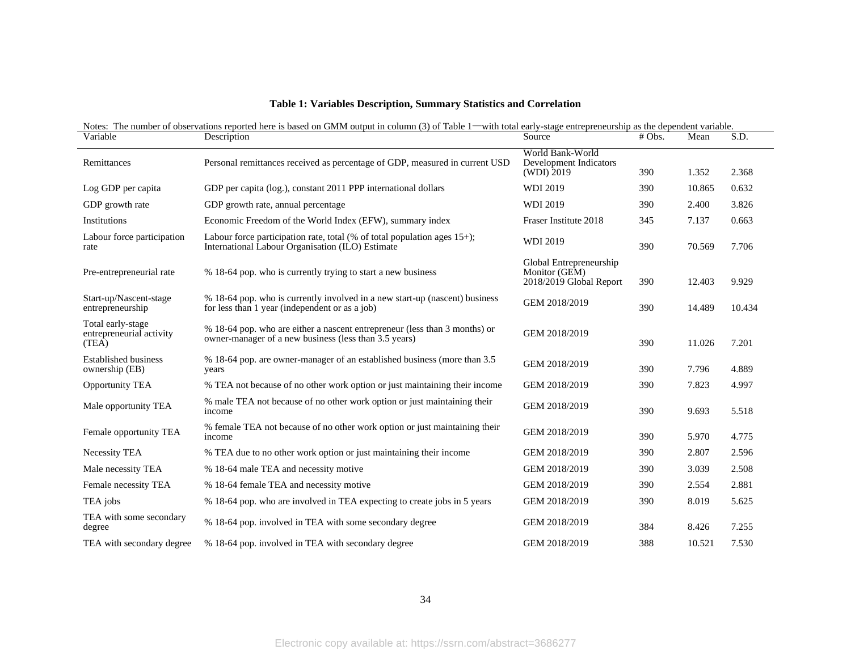|  |  | Table 1: Variables Description, Summary Statistics and Correlation |  |
|--|--|--------------------------------------------------------------------|--|
|  |  |                                                                    |  |

| <b>T</b><br><b>Notes</b><br>umber، | here<br>bas<br>reported<br>vations<br>ഹ<br>obse | $\sim$<br>$\sim$<br>columr<br>∙with<br>able<br>1n<br>, outpr<br>entren <sup>.</sup><br>۱O t<br>-stag<br>reneurship<br>$^{\rm \tiny th}$<br>UI VI VI | the : | dependent variable. |   |
|------------------------------------|-------------------------------------------------|-----------------------------------------------------------------------------------------------------------------------------------------------------|-------|---------------------|---|
| $ -$<br>Variable                   | `UDUOL                                          | Sourc                                                                                                                                               | Obs.  | viean               | ື |

| v ariadie                                              | Description                                                                                                                         | Source                                                              | # ODS. | iviean | S.D.   |  |
|--------------------------------------------------------|-------------------------------------------------------------------------------------------------------------------------------------|---------------------------------------------------------------------|--------|--------|--------|--|
| Remittances                                            | Personal remittances received as percentage of GDP, measured in current USD                                                         | World Bank-World<br>Development Indicators<br>(WDI) 2019            | 390    | 1.352  | 2.368  |  |
| Log GDP per capita                                     | GDP per capita (log.), constant 2011 PPP international dollars                                                                      | <b>WDI 2019</b>                                                     | 390    | 10.865 | 0.632  |  |
| GDP growth rate                                        | GDP growth rate, annual percentage                                                                                                  | <b>WDI 2019</b>                                                     | 390    | 2.400  | 3.826  |  |
| Institutions                                           | Economic Freedom of the World Index (EFW), summary index                                                                            | Fraser Institute 2018                                               | 345    | 7.137  | 0.663  |  |
| Labour force participation<br>rate                     | Labour force participation rate, total $%$ of total population ages 15+);<br>International Labour Organisation (ILO) Estimate       | <b>WDI 2019</b>                                                     | 390    | 70.569 | 7.706  |  |
| Pre-entrepreneurial rate                               | % 18-64 pop. who is currently trying to start a new business                                                                        | Global Entrepreneurship<br>Monitor (GEM)<br>2018/2019 Global Report | 390    | 12.403 | 9.929  |  |
| Start-up/Nascent-stage<br>entrepreneurship             | % 18-64 pop. who is currently involved in a new start-up (nascent) business<br>for less than 1 year (independent or as a job)       | GEM 2018/2019                                                       | 390    | 14.489 | 10.434 |  |
| Total early-stage<br>entrepreneurial activity<br>(TEA) | % 18-64 pop. who are either a nascent entrepreneur (less than 3 months) or<br>owner-manager of a new business (less than 3.5 years) | GEM 2018/2019                                                       | 390    | 11.026 | 7.201  |  |
| <b>Established business</b><br>ownership (EB)          | % 18-64 pop. are owner-manager of an established business (more than 3.5)<br>years                                                  | GEM 2018/2019                                                       | 390    | 7.796  | 4.889  |  |
| <b>Opportunity TEA</b>                                 | % TEA not because of no other work option or just maintaining their income                                                          | GEM 2018/2019                                                       | 390    | 7.823  | 4.997  |  |
| Male opportunity TEA                                   | % male TEA not because of no other work option or just maintaining their<br>income                                                  | GEM 2018/2019                                                       | 390    | 9.693  | 5.518  |  |
| Female opportunity TEA                                 | % female TEA not because of no other work option or just maintaining their<br>income                                                | GEM 2018/2019                                                       | 390    | 5.970  | 4.775  |  |
| Necessity TEA                                          | % TEA due to no other work option or just maintaining their income                                                                  | GEM 2018/2019                                                       | 390    | 2.807  | 2.596  |  |
| Male necessity TEA                                     | % 18-64 male TEA and necessity motive                                                                                               | GEM 2018/2019                                                       | 390    | 3.039  | 2.508  |  |
| Female necessity TEA                                   | % 18-64 female TEA and necessity motive                                                                                             | GEM 2018/2019                                                       | 390    | 2.554  | 2.881  |  |
| TEA jobs                                               | % 18-64 pop. who are involved in TEA expecting to create jobs in 5 years                                                            | GEM 2018/2019                                                       | 390    | 8.019  | 5.625  |  |
| TEA with some secondary<br>degree                      | % 18-64 pop. involved in TEA with some secondary degree                                                                             | GEM 2018/2019                                                       | 384    | 8.426  | 7.255  |  |
| TEA with secondary degree                              | % 18-64 pop. involved in TEA with secondary degree                                                                                  | GEM 2018/2019                                                       | 388    | 10.521 | 7.530  |  |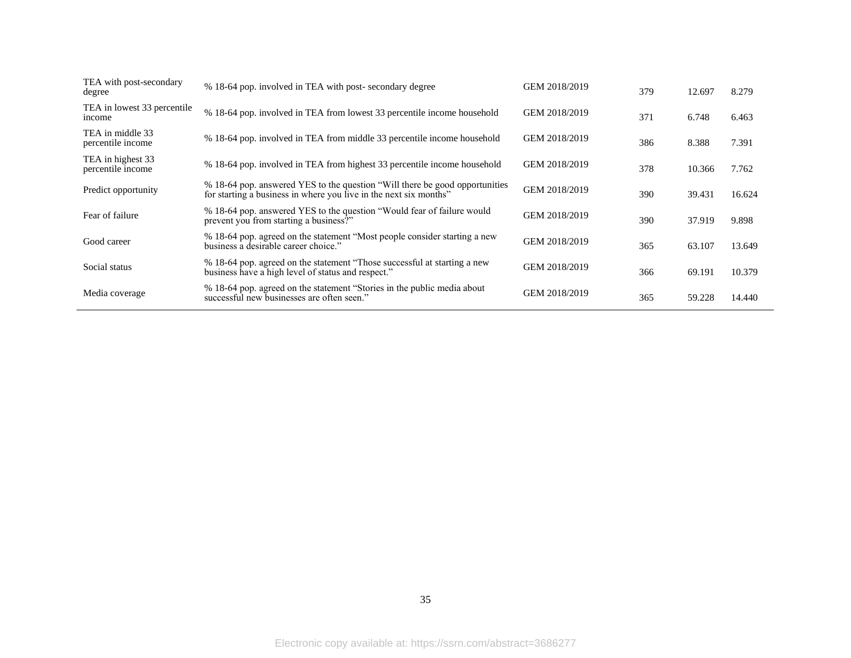| TEA with post-secondary<br>degree      | % 18-64 pop. involved in TEA with post-secondary degree                                                                                           | GEM 2018/2019 | 379 | 12.697 | 8.279  |
|----------------------------------------|---------------------------------------------------------------------------------------------------------------------------------------------------|---------------|-----|--------|--------|
| TEA in lowest 33 percentile<br>income  | % 18-64 pop. involved in TEA from lowest 33 percentile income household                                                                           | GEM 2018/2019 | 371 | 6.748  | 6.463  |
| TEA in middle 33<br>percentile income  | % 18-64 pop. involved in TEA from middle 33 percentile income household                                                                           | GEM 2018/2019 | 386 | 8.388  | 7.391  |
| TEA in highest 33<br>percentile income | % 18-64 pop. involved in TEA from highest 33 percentile income household                                                                          | GEM 2018/2019 | 378 | 10.366 | 7.762  |
| Predict opportunity                    | % 18-64 pop. answered YES to the question "Will there be good opportunities"<br>for starting a business in where you live in the next six months" | GEM 2018/2019 | 390 | 39.431 | 16.624 |
| Fear of failure                        | % 18-64 pop. answered YES to the question "Would fear of failure would<br>prevent you from starting a business?"                                  | GEM 2018/2019 | 390 | 37.919 | 9.898  |
| Good career                            | % 18-64 pop. agreed on the statement "Most people consider starting a new<br>business a desirable career choice."                                 | GEM 2018/2019 | 365 | 63.107 | 13.649 |
| Social status                          | % 18-64 pop. agreed on the statement "Those successful at starting a new<br>business have a high level of status and respect."                    | GEM 2018/2019 | 366 | 69.191 | 10.379 |
| Media coverage                         | % 18-64 pop. agreed on the statement "Stories in the public media about<br>successful new businesses are often seen."                             | GEM 2018/2019 | 365 | 59.228 | 14.440 |
|                                        |                                                                                                                                                   |               |     |        |        |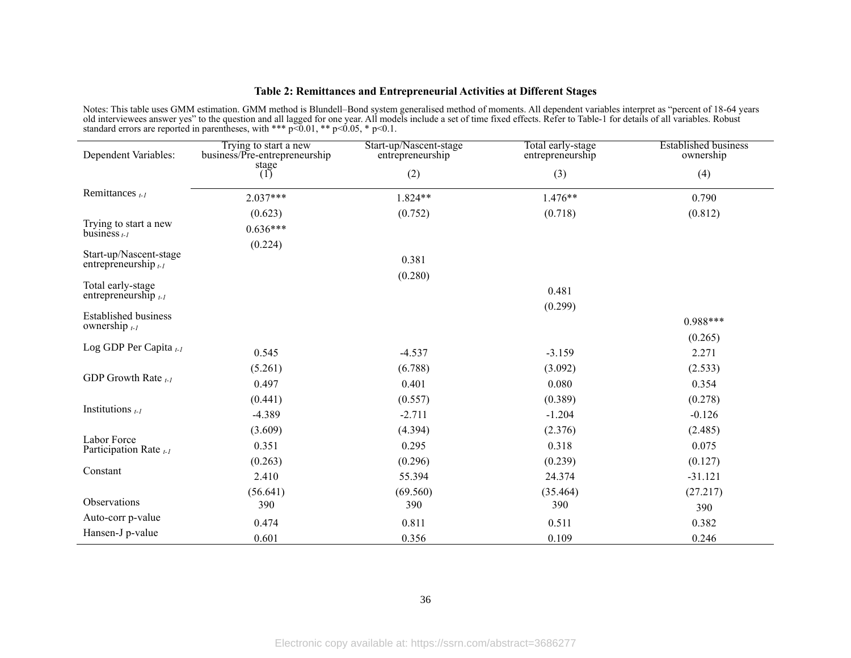#### **Table 2: Remittances and Entrepreneurial Activities at Different Stages**

Notes: This table uses GMM estimation. GMM method is Blundell–Bond system generalised method of moments. All dependent variables interpret as "percent of 18-64 years old interviewees answer yes" to the question and all lagged for one year. All models include a set of time fixed effects. Refer to Table-1 for details of all variables. Robust standard errors are reported in parentheses, with \*\*\*  $p\bar{0.01}$ , \*\*  $p\leq 0.05$ , \*  $p\leq 0.1$ .

| Dependent Variables:                             | Trying to start a new<br>business/Pre-entrepreneurship | Start-up/Nascent-stage<br>entrepreneurship | Total early-stage<br>entrepreneurship | <b>Established business</b><br>ownership |
|--------------------------------------------------|--------------------------------------------------------|--------------------------------------------|---------------------------------------|------------------------------------------|
|                                                  | stage                                                  |                                            |                                       |                                          |
|                                                  | (1)                                                    | (2)                                        | (3)                                   | (4)                                      |
| Remittances $_{t-1}$                             | $2.037***$                                             | $1.824**$                                  | $1.476**$                             | 0.790                                    |
|                                                  | (0.623)                                                | (0.752)                                    | (0.718)                               | (0.812)                                  |
| Trying to start a new<br>business $_{t-1}$       | $0.636***$                                             |                                            |                                       |                                          |
|                                                  | (0.224)                                                |                                            |                                       |                                          |
| Start-up/Nascent-stage<br>entrepreneurship $t-1$ |                                                        | 0.381                                      |                                       |                                          |
|                                                  |                                                        | (0.280)                                    |                                       |                                          |
| Total early-stage<br>entrepreneurship $_{t-1}$   |                                                        |                                            | 0.481                                 |                                          |
|                                                  |                                                        |                                            | (0.299)                               |                                          |
| <b>Established business</b><br>ownership $t-1$   |                                                        |                                            |                                       | $0.988***$                               |
|                                                  |                                                        |                                            |                                       | (0.265)                                  |
| Log GDP Per Capita $t-1$                         | 0.545                                                  | $-4.537$                                   | $-3.159$                              | 2.271                                    |
|                                                  | (5.261)                                                | (6.788)                                    | (3.092)                               | (2.533)                                  |
| GDP Growth Rate $_{t-1}$                         | 0.497                                                  | 0.401                                      | 0.080                                 | 0.354                                    |
|                                                  | (0.441)                                                | (0.557)                                    | (0.389)                               | (0.278)                                  |
| Institutions $_{t-1}$                            | $-4.389$                                               | $-2.711$                                   | $-1.204$                              | $-0.126$                                 |
|                                                  | (3.609)                                                | (4.394)                                    | (2.376)                               | (2.485)                                  |
| Labor Force<br>Participation Rate $_{t-1}$       | 0.351                                                  | 0.295                                      | 0.318                                 | 0.075                                    |
|                                                  | (0.263)                                                | (0.296)                                    | (0.239)                               | (0.127)                                  |
| Constant                                         | 2.410                                                  | 55.394                                     | 24.374                                | $-31.121$                                |
|                                                  | (56.641)                                               | (69.560)                                   | (35.464)                              | (27.217)                                 |
| Observations                                     | 390                                                    | 390                                        | 390                                   | 390                                      |
| Auto-corr p-value                                | 0.474                                                  | 0.811                                      | 0.511                                 | 0.382                                    |
| Hansen-J p-value                                 | 0.601                                                  | 0.356                                      | 0.109                                 | 0.246                                    |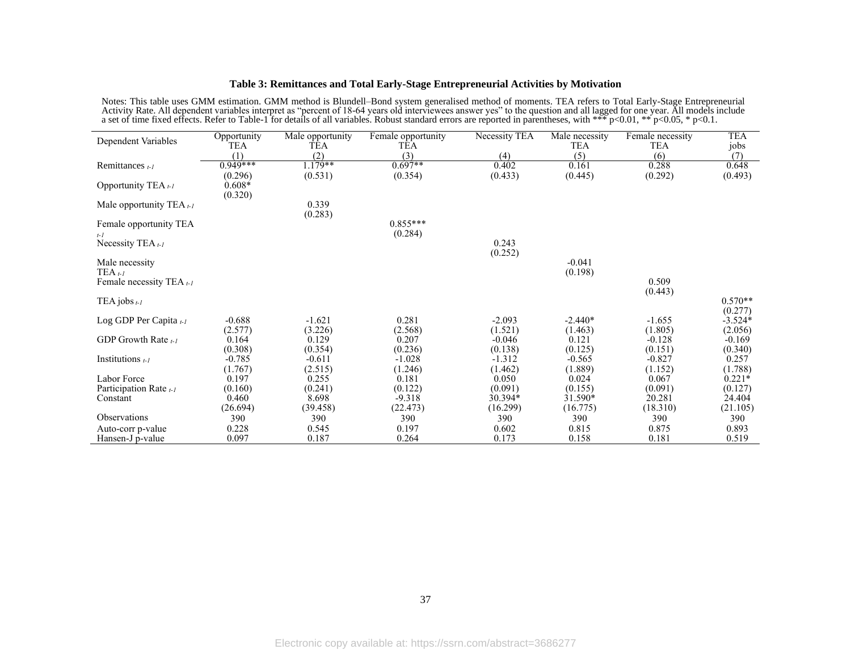#### **Table 3: Remittances and Total Early-Stage Entrepreneurial Activities by Motivation**

Notes: This table uses GMM estimation. GMM method is Blundell–Bond system generalised method of moments. TEA refers to Total Early-Stage Entrepreneurial Activity Rate. All dependent variables interpret as "percent of 18-64 years old interviewees answer yes" to the question and all lagged for one year. All models include a set of time fixed effects. Refer to Table-1 for details of all variables. Robust standard errors are reported in parentheses, with \*\*\* p<0.01, \*\* p<0.05, \* p<0.1.

| Dependent Variables                 | Opportunity         | Male opportunity | Female opportunity | Necessity TEA    | $\overline{\text{Male}}$ necessity | Female necessity | <b>TEA</b>           |
|-------------------------------------|---------------------|------------------|--------------------|------------------|------------------------------------|------------------|----------------------|
|                                     | TEA<br>(1)          | TEA<br>(2)       | TEA<br>(3)         | (4)              | <b>TEA</b><br>(5)                  | TEA<br>(6)       | jobs<br>(7)          |
| Remittances $t-1$                   | $0.949***$          | $1.179**$        | $0.697**$          | 0.402            | 0.161                              | 0.288            | 0.648                |
|                                     | (0.296)             | (0.531)          | (0.354)            | (0.433)          | (0.445)                            | (0.292)          | (0.493)              |
| Opportunity TEA t-1                 | $0.608*$<br>(0.320) |                  |                    |                  |                                    |                  |                      |
| Male opportunity TEA <sub>t-1</sub> |                     | 0.339<br>(0.283) |                    |                  |                                    |                  |                      |
| Female opportunity TEA              |                     |                  | $0.855***$         |                  |                                    |                  |                      |
| $t-1$                               |                     |                  | (0.284)            |                  |                                    |                  |                      |
| Necessity TEA $_{t-1}$              |                     |                  |                    | 0.243            |                                    |                  |                      |
| Male necessity                      |                     |                  |                    | (0.252)          | $-0.041$                           |                  |                      |
| $TEA_{t-1}$                         |                     |                  |                    |                  | (0.198)                            |                  |                      |
| Female necessity TEA $t$ -1         |                     |                  |                    |                  |                                    | 0.509            |                      |
|                                     |                     |                  |                    |                  |                                    | (0.443)          |                      |
| TEA jobs $t-l$                      |                     |                  |                    |                  |                                    |                  | $0.570**$<br>(0.277) |
| Log GDP Per Capita $t-1$            | $-0.688$            | $-1.621$         | 0.281              | $-2.093$         | $-2.440*$                          | $-1.655$         | $-3.524*$            |
|                                     | (2.577)             | (3.226)          | (2.568)            | (1.521)          | (1.463)                            | (1.805)          | (2.056)              |
| GDP Growth Rate $t-1$               | 0.164               | 0.129            | 0.207              | $-0.046$         | 0.121                              | $-0.128$         | $-0.169$             |
|                                     | (0.308)             | (0.354)          | (0.236)            | (0.138)          | (0.125)                            | (0.151)          | (0.340)              |
| Institutions $t-1$                  | $-0.785$            | $-0.611$         | $-1.028$           | $-1.312$         | $-0.565$                           | $-0.827$         | 0.257                |
| Labor Force                         | (1.767)<br>0.197    | (2.515)<br>0.255 | (1.246)<br>0.181   | (1.462)<br>0.050 | (1.889)<br>0.024                   | (1.152)<br>0.067 | (1.788)<br>$0.221*$  |
| Participation Rate $t-1$            | (0.160)             | (0.241)          | (0.122)            | (0.091)          | (0.155)                            | (0.091)          | (0.127)              |
| Constant                            | 0.460               | 8.698            | $-9.318$           | 30.394*          | 31.590*                            | 20.281           | 24.404               |
|                                     | (26.694)            | (39.458)         | (22.473)           | (16.299)         | (16.775)                           | (18.310)         | (21.105)             |
| <b>Observations</b>                 | 390                 | 390              | 390                | 390              | 390                                | 390              | 390                  |
| Auto-corr p-value                   | 0.228               | 0.545            | 0.197              | 0.602            | 0.815                              | 0.875            | 0.893                |
| Hansen-J p-value                    | 0.097               | 0.187            | 0.264              | 0.173            | 0.158                              | 0.181            | 0.519                |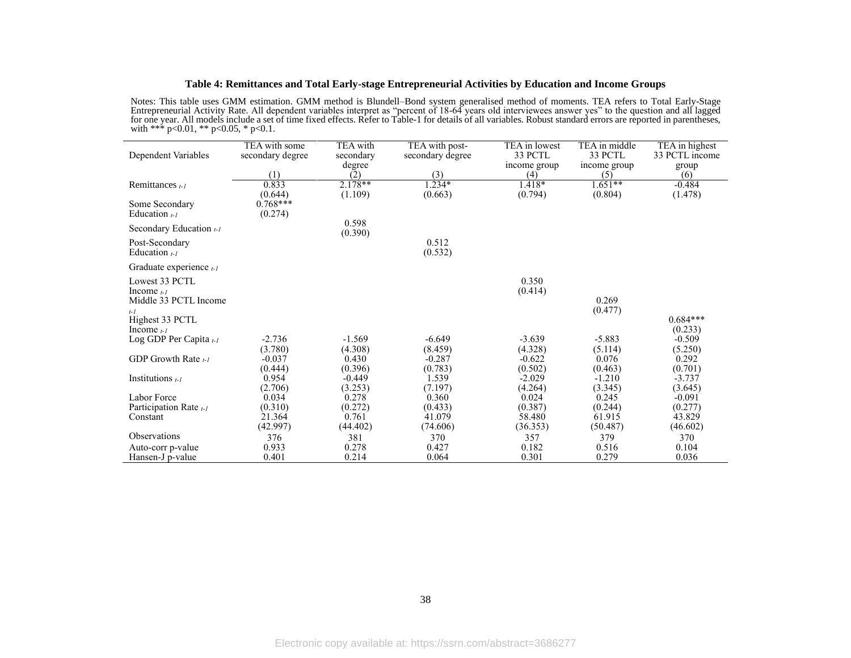#### **Table 4: Remittances and Total Early-stage Entrepreneurial Activities by Education and Income Groups**

Notes: This table uses GMM estimation. GMM method is Blundell–Bond system generalised method of moments. TEA refers to Total Early-Stage Entrepreneurial Activity Rate. All dependent variables interpret as "percent of 18-64 years old interviewees answer yes" to the question and all lagged for one year. All models include a set of time fixed effects. Refer to Table-1 for details of all variables. Robust standard errors are reported in parentheses, with \*\*\*  $p<0.01$ , \*\*  $p<0.05$ , \*  $p<0.1$ .

 $\overline{a}$ 

|                                                      | TEA with some    | TEA with  | TEA with post-   | TEA in lowest       | TEA in middle    | TEA in highest      |
|------------------------------------------------------|------------------|-----------|------------------|---------------------|------------------|---------------------|
| Dependent Variables                                  | secondary degree | secondary | secondary degree | 33 PCTL             | 33 PCTL          | 33 PCTL income      |
|                                                      |                  | degree    |                  | income group        | income group     | group               |
|                                                      | (1)              | (2)       | (3)              | (4)                 | (5)<br>$1.651**$ | (6)                 |
| Remittances $_{t-1}$                                 | 0.833<br>(0.644) | $2.178**$ | $1.234*$         | $1.418*$<br>(0.794) | (0.804)          | $-0.484$            |
| Some Secondary                                       | $0.768***$       | (1.109)   | (0.663)          |                     |                  | (1.478)             |
| Education $\mu$                                      | (0.274)          |           |                  |                     |                  |                     |
|                                                      |                  | 0.598     |                  |                     |                  |                     |
| Secondary Education $t-1$                            |                  | (0.390)   |                  |                     |                  |                     |
| Post-Secondary                                       |                  |           | 0.512            |                     |                  |                     |
| Education $_{t-1}$                                   |                  |           | (0.532)          |                     |                  |                     |
| Graduate experience t-1                              |                  |           |                  |                     |                  |                     |
| Lowest 33 PCTL                                       |                  |           |                  | 0.350               |                  |                     |
| Income $_{t-1}$                                      |                  |           |                  | (0.414)             |                  |                     |
| Middle 33 PCTL Income                                |                  |           |                  |                     | 0.269            |                     |
| $t-1$                                                |                  |           |                  |                     | (0.477)          |                     |
| Highest 33 PCTL                                      |                  |           |                  |                     |                  | $0.684***$          |
| Income $_{t-1}$<br>Log GDP Per Capita <sub>t-1</sub> | $-2.736$         | $-1.569$  | $-6.649$         | $-3.639$            | $-5.883$         | (0.233)<br>$-0.509$ |
|                                                      | (3.780)          | (4.308)   | (8.459)          | (4.328)             | (5.114)          | (5.250)             |
| GDP Growth Rate $_{t-1}$                             | $-0.037$         | 0.430     | $-0.287$         | $-0.622$            | 0.076            | 0.292               |
|                                                      | (0.444)          | (0.396)   | (0.783)          | (0.502)             | (0.463)          | (0.701)             |
| Institutions $t-1$                                   | 0.954            | $-0.449$  | 1.539            | $-2.029$            | $-1.210$         | $-3.737$            |
|                                                      | (2.706)          | (3.253)   | (7.197)          | (4.264)             | (3.345)          | (3.645)             |
| Labor Force                                          | 0.034            | 0.278     | 0.360            | 0.024               | 0.245            | $-0.091$            |
| Participation Rate <sub>t-1</sub>                    | (0.310)          | (0.272)   | (0.433)          | (0.387)             | (0.244)          | (0.277)             |
| Constant                                             | 21.364           | 0.761     | 41.079           | 58.480              | 61.915           | 43.829              |
|                                                      | (42.997)         | (44.402)  | (74.606)         | (36.353)            | (50.487)         | (46.602)            |
| Observations                                         | 376              | 381       | 370              | 357                 | 379              | 370                 |
| Auto-corr p-value                                    | 0.933            | 0.278     | 0.427            | 0.182               | 0.516            | 0.104               |
| Hansen-J p-value                                     | 0.401            | 0.214     | 0.064            | 0.301               | 0.279            | 0.036               |